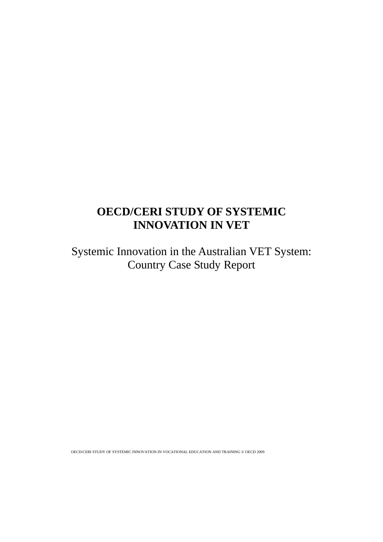# **OECD/CERI STUDY OF SYSTEMIC INNOVATION IN VET**

Systemic Innovation in the Australian VET System: Country Case Study Report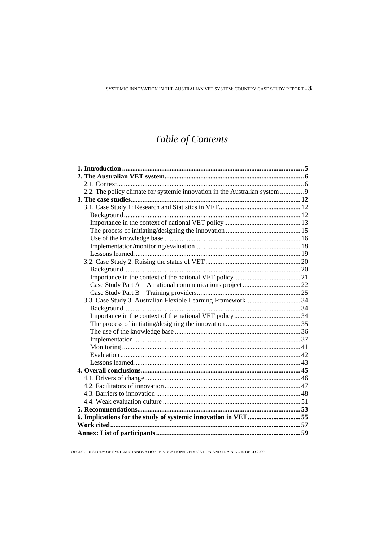# Table of Contents

| 2.2. The policy climate for systemic innovation in the Australian system  9 |  |
|-----------------------------------------------------------------------------|--|
|                                                                             |  |
|                                                                             |  |
|                                                                             |  |
|                                                                             |  |
|                                                                             |  |
|                                                                             |  |
|                                                                             |  |
|                                                                             |  |
|                                                                             |  |
|                                                                             |  |
|                                                                             |  |
|                                                                             |  |
|                                                                             |  |
|                                                                             |  |
|                                                                             |  |
|                                                                             |  |
|                                                                             |  |
|                                                                             |  |
|                                                                             |  |
|                                                                             |  |
|                                                                             |  |
|                                                                             |  |
|                                                                             |  |
|                                                                             |  |
|                                                                             |  |
|                                                                             |  |
|                                                                             |  |
|                                                                             |  |
| 6. Implications for the study of systemic innovation in VET55               |  |
|                                                                             |  |
|                                                                             |  |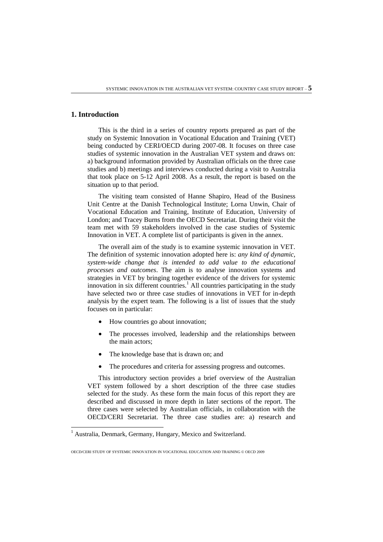### **1. Introduction**

 $\overline{a}$ 

This is the third in a series of country reports prepared as part of the study on Systemic Innovation in Vocational Education and Training (VET) being conducted by CERI/OECD during 2007-08. It focuses on three case studies of systemic innovation in the Australian VET system and draws on: a) background information provided by Australian officials on the three case studies and b) meetings and interviews conducted during a visit to Australia that took place on 5-12 April 2008. As a result, the report is based on the situation up to that period.

The visiting team consisted of Hanne Shapiro, Head of the Business Unit Centre at the Danish Technological Institute; Lorna Unwin, Chair of Vocational Education and Training, Institute of Education, University of London; and Tracey Burns from the OECD Secretariat. During their visit the team met with 59 stakeholders involved in the case studies of Systemic Innovation in VET. A complete list of participants is given in the annex.

The overall aim of the study is to examine systemic innovation in VET. The definition of systemic innovation adopted here is: *any kind of dynamic, system-wide change that is intended to add value to the educational processes and outcomes*. The aim is to analyse innovation systems and strategies in VET by bringing together evidence of the drivers for systemic innovation in six different countries. <sup>1</sup> All countries participating in the study have selected two or three case studies of innovations in VET for in-depth analysis by the expert team. The following is a list of issues that the study focuses on in particular:

- How countries go about innovation;
- The processes involved, leadership and the relationships between the main actors;
- The knowledge base that is drawn on; and
- The procedures and criteria for assessing progress and outcomes.

This introductory section provides a brief overview of the Australian VET system followed by a short description of the three case studies selected for the study. As these form the main focus of this report they are described and discussed in more depth in later sections of the report. The three cases were selected by Australian officials, in collaboration with the OECD/CERI Secretariat. The three case studies are: a) research and

<sup>&</sup>lt;sup>1</sup> Australia, Denmark, Germany, Hungary, Mexico and Switzerland.

OECD/CERI STUDY OF SYSTEMIC INNOVATION IN VOCATIONAL EDUCATION AND TRAINING © OECD 2009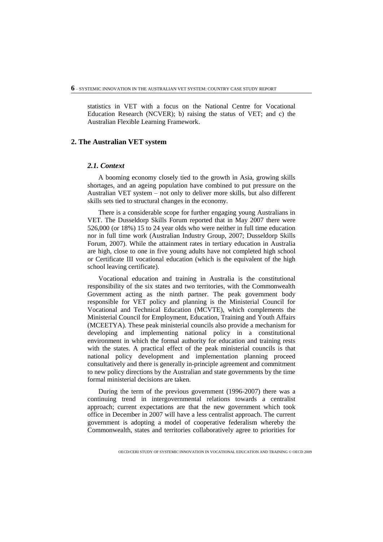statistics in VET with a focus on the National Centre for Vocational Education Research (NCVER); b) raising the status of VET; and c) the Australian Flexible Learning Framework.

### **2. The Australian VET system**

### *2.1. Context*

A booming economy closely tied to the growth in Asia, growing skills shortages, and an ageing population have combined to put pressure on the Australian VET system – not only to deliver more skills, but also different skills sets tied to structural changes in the economy.

There is a considerable scope for further engaging young Australians in VET. The Dusseldorp Skills Forum reported that in May 2007 there were 526,000 (or 18%) 15 to 24 year olds who were neither in full time education nor in full time work (Australian Industry Group, 2007; Dusseldorp Skills Forum, 2007). While the attainment rates in tertiary education in Australia are high, close to one in five young adults have not completed high school or Certificate III vocational education (which is the equivalent of the high school leaving certificate).

Vocational education and training in Australia is the constitutional responsibility of the six states and two territories, with the Commonwealth Government acting as the ninth partner. The peak government body responsible for VET policy and planning is the Ministerial Council for Vocational and Technical Education (MCVTE), which complements the Ministerial Council for Employment, Education, Training and Youth Affairs (MCEETYA). These peak ministerial councils also provide a mechanism for developing and implementing national policy in a constitutional environment in which the formal authority for education and training rests with the states. A practical effect of the peak ministerial councils is that national policy development and implementation planning proceed consultatively and there is generally in-principle agreement and commitment to new policy directions by the Australian and state governments by the time formal ministerial decisions are taken.

During the term of the previous government (1996-2007) there was a continuing trend in intergovernmental relations towards a centralist approach; current expectations are that the new government which took office in December in 2007 will have a less centralist approach. The current government is adopting a model of cooperative federalism whereby the Commonwealth, states and territories collaboratively agree to priorities for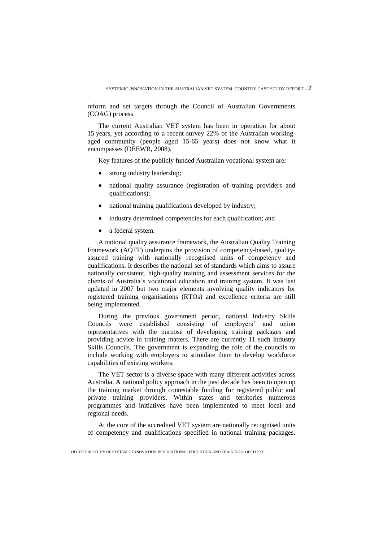reform and set targets through the Council of Australian Governments (COAG) process.

The current Australian VET system has been in operation for about 15 years, yet according to a recent survey 22% of the Australian workingaged community (people aged 15-65 years) does not know what it encompasses (DEEWR, 2008).

Key features of the publicly funded Australian vocational system are:

- strong industry leadership;
- national quality assurance (registration of training providers and qualifications);
- national training qualifications developed by industry;
- industry determined competencies for each qualification; and
- a federal system.

A national quality assurance framework, the Australian Quality Training Framework (AQTF) underpins the provision of competency-based, qualityassured training with nationally recognised units of competency and qualifications. It describes the national set of standards which aims to assure nationally consistent, high-quality training and assessment services for the clients of Australia's vocational education and training system. It was last updated in 2007 but two major elements involving quality indicators for registered training organisations (RTOs) and excellence criteria are still being implemented.

During the previous government period, national Industry Skills Councils were established consisting of employers' and union representatives with the purpose of developing training packages and providing advice in training matters. There are currently 11 such Industry Skills Councils. The government is expanding the role of the councils to include working with employers to stimulate them to develop workforce capabilities of existing workers.

The VET sector is a diverse space with many different activities across Australia. A national policy approach in the past decade has been to open up the training market through contestable funding for registered public and private training providers. Within states and territories numerous programmes and initiatives have been implemented to meet local and regional needs.

At the core of the accredited VET system are nationally recognised units of competency and qualifications specified in national training packages.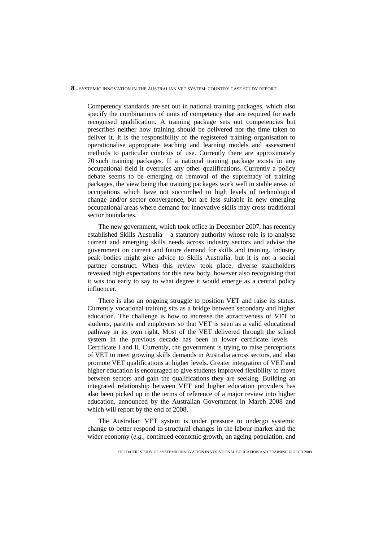Competency standards are set out in national training packages, which also specify the combinations of units of competency that are required for each recognised qualification. A training package sets out competencies but prescribes neither how training should be delivered nor the time taken to deliver it. It is the responsibility of the registered training organisation to operationalise appropriate teaching and learning models and assessment methods to particular contexts of use. Currently there are approximately 70 such training packages. If a national training package exists in any occupational field it overrules any other qualifications. Currently a policy debate seems to be emerging on removal of the supremacy of training packages, the view being that training packages work well in stable areas of occupations which have not succumbed to high levels of technological change and/or sector convergence, but are less suitable in new emerging occupational areas where demand for innovative skills may cross traditional sector boundaries.

The new government, which took office in December 2007, has recently established Skills Australia – a statutory authority whose role is to analyse current and emerging skills needs across industry sectors and advise the government on current and future demand for skills and training. Industry peak bodies might give advice to Skills Australia, but it is not a social partner construct. When this review took place, diverse stakeholders revealed high expectations for this new body, however also recognising that it was too early to say to what degree it would emerge as a central policy influencer.

There is also an ongoing struggle to position VET and raise its status. Currently vocational training sits as a bridge between secondary and higher education. The challenge is how to increase the attractiveness of VET to students, parents and employers so that VET is seen as a valid educational pathway in its own right. Most of the VET delivered through the school system in the previous decade has been in lower certificate levels – Certificate I and II. Currently, the government is trying to raise perceptions of VET to meet growing skills demands in Australia across sectors, and also promote VET qualifications at higher levels. Greater integration of VET and higher education is encouraged to give students improved flexibility to move between sectors and gain the qualifications they are seeking. Building an integrated relationship between VET and higher education providers has also been picked up in the terms of reference of a major review into higher education, announced by the Australian Government in March 2008 and which will report by the end of 2008.

The Australian VET system is under pressure to undergo systemic change to better respond to structural changes in the labour market and the wider economy (*e.g.*, continued economic growth, an ageing population, and

OECD/CERI STUDY OF SYSTEMIC INNOVATION IN VOCATIONAL EDUCATION AND TRAINING © OECD 2009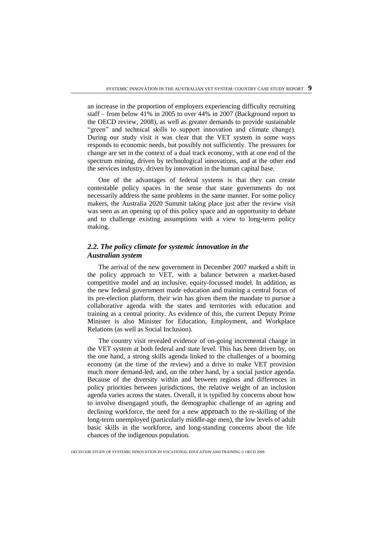an increase in the proportion of employers experiencing difficulty recruiting staff – from below 41% in 2005 to over 44% in 2007 (Background report to the OECD review, 2008), as well as greater demands to provide sustainable "green" and technical skills to support innovation and climate change). During our study visit it was clear that the VET system in some ways responds to economic needs, but possibly not sufficiently. The pressures for change are set in the context of a dual track economy, with at one end of the spectrum mining, driven by technological innovations, and at the other end the services industry, driven by innovation in the human capital base.

One of the advantages of federal systems is that they can create contestable policy spaces in the sense that state governments do not necessarily address the same problems in the same manner. For some policy makers, the Australia 2020 Summit taking place just after the review visit was seen as an opening up of this policy space and an opportunity to debate and to challenge existing assumptions with a view to long-term policy making.

# *2.2. The policy climate for systemic innovation in the Australian system*

The arrival of the new government in December 2007 marked a shift in the policy approach to VET, with a balance between a market-based competitive model and an inclusive, equity-focussed model. In addition, as the new federal government made education and training a central focus of its pre-election platform, their win has given them the mandate to pursue a collaborative agenda with the states and territories with education and training as a central priority. As evidence of this, the current Deputy Prime Minister is also Minister for Education, Employment, and Workplace Relations (as well as Social Inclusion).

The country visit revealed evidence of on-going incremental change in the VET system at both federal and state level. This has been driven by, on the one hand, a strong skills agenda linked to the challenges of a booming economy (at the time of the review) and a drive to make VET provision much more demand-led, and, on the other hand, by a social justice agenda. Because of the diversity within and between regions and differences in policy priorities between jurisdictions, the relative weight of an inclusion agenda varies across the states. Overall, it is typified by concerns about how to involve disengaged youth, the demographic challenge of an ageing and declining workforce, the need for a new approach to the re-skilling of the long-term unemployed (particularly middle-age men), the low levels of adult basic skills in the workforce, and long-standing concerns about the life chances of the indigenous population.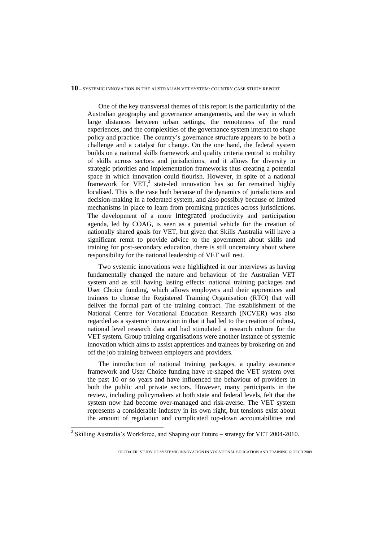One of the key transversal themes of this report is the particularity of the Australian geography and governance arrangements, and the way in which large distances between urban settings, the remoteness of the rural experiences, and the complexities of the governance system interact to shape policy and practice. The country's governance structure appears to be both a challenge and a catalyst for change. On the one hand, the federal system builds on a national skills framework and quality criteria central to mobility of skills across sectors and jurisdictions, and it allows for diversity in strategic priorities and implementation frameworks thus creating a potential space in which innovation could flourish. However, in spite of a national framework for VET, $2$  state-led innovation has so far remained highly localised. This is the case both because of the dynamics of jurisdictions and decision-making in a federated system, and also possibly because of limited mechanisms in place to learn from promising practices across jurisdictions. The development of a more integrated productivity and participation agenda, led by COAG, is seen as a potential vehicle for the creation of nationally shared goals for VET, but given that Skills Australia will have a significant remit to provide advice to the government about skills and training for post-secondary education, there is still uncertainty about where responsibility for the national leadership of VET will rest.

Two systemic innovations were highlighted in our interviews as having fundamentally changed the nature and behaviour of the Australian VET system and as still having lasting effects: national training packages and User Choice funding, which allows employers and their apprentices and trainees to choose the Registered Training Organisation (RTO) that will deliver the formal part of the training contract. The establishment of the National Centre for Vocational Education Research (NCVER) was also regarded as a systemic innovation in that it had led to the creation of robust, national level research data and had stimulated a research culture for the VET system. Group training organisations were another instance of systemic innovation which aims to assist apprentices and trainees by brokering on and off the job training between employers and providers.

The introduction of national training packages, a quality assurance framework and User Choice funding have re-shaped the VET system over the past 10 or so years and have influenced the behaviour of providers in both the public and private sectors. However, many participants in the review, including policymakers at both state and federal levels, felt that the system now had become over-managed and risk-averse. The VET system represents a considerable industry in its own right, but tensions exist about the amount of regulation and complicated top-down accountabilities and

 $\overline{a}$ 

 $2$  Skilling Australia's Workforce, and Shaping our Future – strategy for VET 2004-2010.

OECD/CERI STUDY OF SYSTEMIC INNOVATION IN VOCATIONAL EDUCATION AND TRAINING © OECD 2009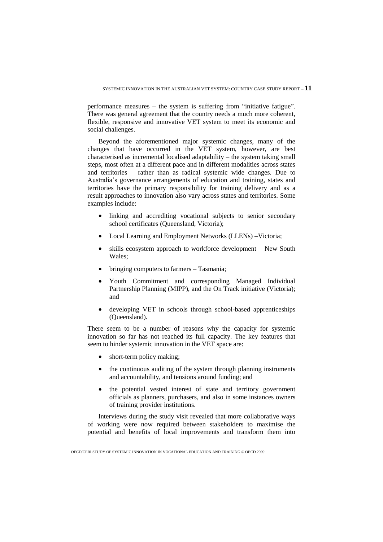performance measures – the system is suffering from "initiative fatigue". There was general agreement that the country needs a much more coherent, flexible, responsive and innovative VET system to meet its economic and social challenges.

Beyond the aforementioned major systemic changes, many of the changes that have occurred in the VET system, however, are best characterised as incremental localised adaptability – the system taking small steps, most often at a different pace and in different modalities across states and territories – rather than as radical systemic wide changes. Due to Australia's governance arrangements of education and training, states and territories have the primary responsibility for training delivery and as a result approaches to innovation also vary across states and territories. Some examples include:

- linking and accrediting vocational subjects to senior secondary school certificates (Queensland, Victoria);
- Local Learning and Employment Networks (LLENs) –Victoria;
- skills ecosystem approach to workforce development New South Wales;
- bringing computers to farmers Tasmania;
- Youth Commitment and corresponding Managed Individual Partnership Planning (MIPP), and the On Track initiative (Victoria); and
- developing VET in schools through school-based apprenticeships (Queensland).

There seem to be a number of reasons why the capacity for systemic innovation so far has not reached its full capacity. The key features that seem to hinder systemic innovation in the VET space are:

- short-term policy making;
- the continuous auditing of the system through planning instruments and accountability, and tensions around funding; and
- the potential vested interest of state and territory government officials as planners, purchasers, and also in some instances owners of training provider institutions.

Interviews during the study visit revealed that more collaborative ways of working were now required between stakeholders to maximise the potential and benefits of local improvements and transform them into

OECD/CERI STUDY OF SYSTEMIC INNOVATION IN VOCATIONAL EDUCATION AND TRAINING © OECD 2009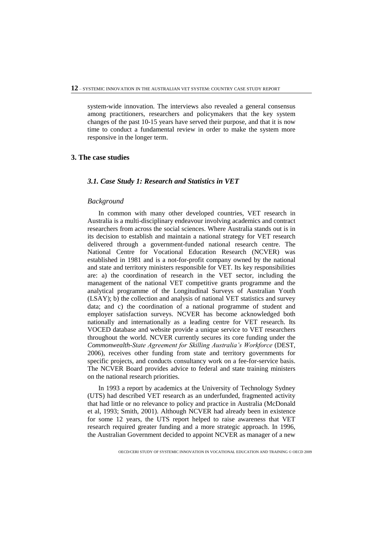system-wide innovation. The interviews also revealed a general consensus among practitioners, researchers and policymakers that the key system changes of the past 10-15 years have served their purpose, and that it is now time to conduct a fundamental review in order to make the system more responsive in the longer term.

#### **3. The case studies**

#### *3.1. Case Study 1: Research and Statistics in VET*

#### *Background*

In common with many other developed countries*,* VET research in Australia is a multi-disciplinary endeavour involving academics and contract researchers from across the social sciences. Where Australia stands out is in its decision to establish and maintain a national strategy for VET research delivered through a government-funded national research centre. The National Centre for Vocational Education Research (NCVER) was established in 1981 and is a not-for-profit company owned by the national and state and territory ministers responsible for VET. Its key responsibilities are: a) the coordination of research in the VET sector, including the management of the national VET competitive grants programme and the analytical programme of the Longitudinal Surveys of Australian Youth (LSAY); b) the collection and analysis of national VET statistics and survey data; and c) the coordination of a national programme of student and employer satisfaction surveys. NCVER has become acknowledged both nationally and internationally as a leading centre for VET research. Its VOCED database and website provide a unique service to VET researchers throughout the world. NCVER currently secures its core funding under the *Commonwealth-State Agreement for Skilling Australia's Workforce* (DEST, 2006), receives other funding from state and territory governments for specific projects, and conducts consultancy work on a fee-for-service basis. The NCVER Board provides advice to federal and state training ministers on the national research priorities.

In 1993 a report by academics at the University of Technology Sydney (UTS) had described VET research as an underfunded, fragmented activity that had little or no relevance to policy and practice in Australia (McDonald et al, 1993; Smith, 2001). Although NCVER had already been in existence for some 12 years, the UTS report helped to raise awareness that VET research required greater funding and a more strategic approach. In 1996, the Australian Government decided to appoint NCVER as manager of a new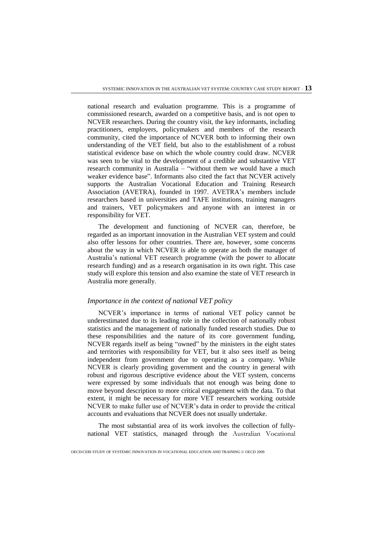national research and evaluation programme. This is a programme of commissioned research, awarded on a competitive basis, and is not open to NCVER researchers. During the country visit, the key informants, including practitioners, employers, policymakers and members of the research community, cited the importance of NCVER both to informing their own understanding of the VET field, but also to the establishment of a robust statistical evidence base on which the whole country could draw. NCVER was seen to be vital to the development of a credible and substantive VET research community in Australia – "without them we would have a much weaker evidence base". Informants also cited the fact that NCVER actively supports the Australian Vocational Education and Training Research Association (AVETRA), founded in 1997. AVETRA's members include researchers based in universities and TAFE institutions, training managers and trainers, VET policymakers and anyone with an interest in or responsibility for VET.

The development and functioning of NCVER can, therefore, be regarded as an important innovation in the Australian VET system and could also offer lessons for other countries. There are, however, some concerns about the way in which NCVER is able to operate as both the manager of Australia's national VET research programme (with the power to allocate research funding) and as a research organisation in its own right. This case study will explore this tension and also examine the state of VET research in Australia more generally.

#### *Importance in the context of national VET policy*

NCVER's importance in terms of national VET policy cannot be underestimated due to its leading role in the collection of nationally robust statistics and the management of nationally funded research studies. Due to these responsibilities and the nature of its core government funding, NCVER regards itself as being "owned" by the ministers in the eight states and territories with responsibility for VET, but it also sees itself as being independent from government due to operating as a company. While NCVER is clearly providing government and the country in general with robust and rigorous descriptive evidence about the VET system, concerns were expressed by some individuals that not enough was being done to move beyond description to more critical engagement with the data. To that extent, it might be necessary for more VET researchers working outside NCVER to make fuller use of NCVER's data in order to provide the critical accounts and evaluations that NCVER does not usually undertake.

The most substantial area of its work involves the collection of fullynational VET statistics, managed through the Australian Vocational

OECD/CERI STUDY OF SYSTEMIC INNOVATION IN VOCATIONAL EDUCATION AND TRAINING © OECD 2009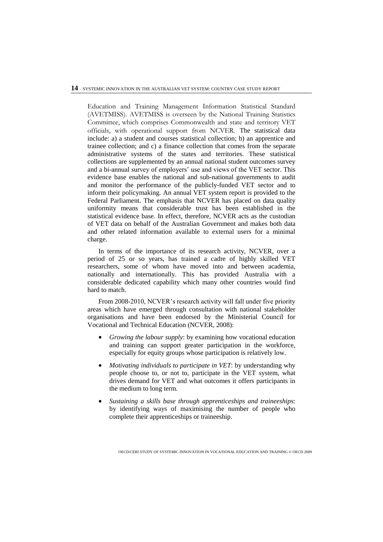Education and Training Management Information Statistical Standard (AVETMISS). AVETMISS is overseen by the National Training Statistics Committee, which comprises Commonwealth and state and territory VET officials, with operational support from NCVER. The statistical data include: a) a student and courses statistical collection; b) an apprentice and trainee collection; and c) a finance collection that comes from the separate administrative systems of the states and territories. These statistical collections are supplemented by an annual national student outcomes survey and a bi-annual survey of employers' use and views of the VET sector. This evidence base enables the national and sub-national governments to audit and monitor the performance of the publicly-funded VET sector and to inform their policymaking. An annual VET system report is provided to the Federal Parliament. The emphasis that NCVER has placed on data quality uniformity means that considerable trust has been established in the statistical evidence base. In effect, therefore, NCVER acts as the custodian of VET data on behalf of the Australian Government and makes both data and other related information available to external users for a minimal charge.

In terms of the importance of its research activity, NCVER, over a period of 25 or so years, has trained a cadre of highly skilled VET researchers, some of whom have moved into and between academia, nationally and internationally. This has provided Australia with a considerable dedicated capability which many other countries would find hard to match.

From 2008-2010, NCVER's research activity will fall under five priority areas which have emerged through consultation with national stakeholder organisations and have been endorsed by the Ministerial Council for Vocational and Technical Education (NCVER, 2008):

- *Growing the labour supply*: by examining how vocational education and training can support greater participation in the workforce, especially for equity groups whose participation is relatively low.
- *Motivating individuals to participate in VET*: by understanding why people choose to, or not to, participate in the VET system, what drives demand for VET and what outcomes it offers participants in the medium to long term.
- *Sustaining a skills base through apprenticeships and traineeships*: by identifying ways of maximising the number of people who complete their apprenticeships or traineeship.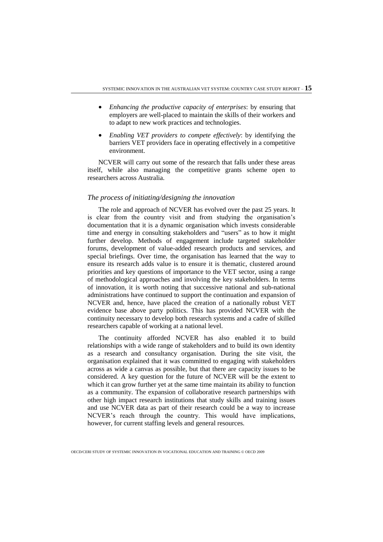- *Enhancing the productive capacity of enterprises*: by ensuring that employers are well-placed to maintain the skills of their workers and to adapt to new work practices and technologies.
- *Enabling VET providers to compete effectively*: by identifying the barriers VET providers face in operating effectively in a competitive environment.

NCVER will carry out some of the research that falls under these areas itself, while also managing the competitive grants scheme open to researchers across Australia.

#### *The process of initiating/designing the innovation*

The role and approach of NCVER has evolved over the past 25 years. It is clear from the country visit and from studying the organisation's documentation that it is a dynamic organisation which invests considerable time and energy in consulting stakeholders and "users" as to how it might further develop. Methods of engagement include targeted stakeholder forums, development of value-added research products and services, and special briefings. Over time, the organisation has learned that the way to ensure its research adds value is to ensure it is thematic, clustered around priorities and key questions of importance to the VET sector, using a range of methodological approaches and involving the key stakeholders. In terms of innovation, it is worth noting that successive national and sub-national administrations have continued to support the continuation and expansion of NCVER and, hence, have placed the creation of a nationally robust VET evidence base above party politics. This has provided NCVER with the continuity necessary to develop both research systems and a cadre of skilled researchers capable of working at a national level.

The continuity afforded NCVER has also enabled it to build relationships with a wide range of stakeholders and to build its own identity as a research and consultancy organisation. During the site visit, the organisation explained that it was committed to engaging with stakeholders across as wide a canvas as possible, but that there are capacity issues to be considered. A key question for the future of NCVER will be the extent to which it can grow further yet at the same time maintain its ability to function as a community. The expansion of collaborative research partnerships with other high impact research institutions that study skills and training issues and use NCVER data as part of their research could be a way to increase NCVER's reach through the country. This would have implications, however, for current staffing levels and general resources.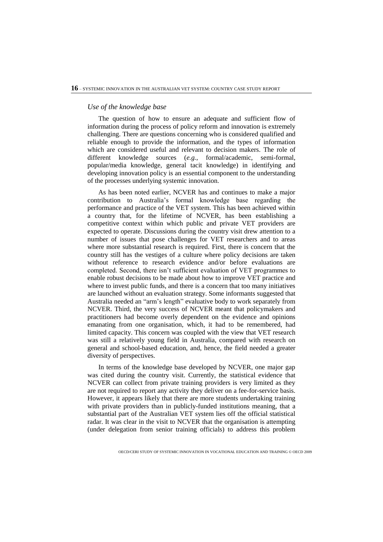#### *Use of the knowledge base*

The question of how to ensure an adequate and sufficient flow of information during the process of policy reform and innovation is extremely challenging. There are questions concerning who is considered qualified and reliable enough to provide the information, and the types of information which are considered useful and relevant to decision makers. The role of different knowledge sources (*e.g.*, formal/academic, semi-formal, popular/media knowledge, general tacit knowledge) in identifying and developing innovation policy is an essential component to the understanding of the processes underlying systemic innovation.

As has been noted earlier, NCVER has and continues to make a major contribution to Australia's formal knowledge base regarding the performance and practice of the VET system. This has been achieved within a country that, for the lifetime of NCVER, has been establishing a competitive context within which public and private VET providers are expected to operate. Discussions during the country visit drew attention to a number of issues that pose challenges for VET researchers and to areas where more substantial research is required. First, there is concern that the country still has the vestiges of a culture where policy decisions are taken without reference to research evidence and/or before evaluations are completed. Second, there isn't sufficient evaluation of VET programmes to enable robust decisions to be made about how to improve VET practice and where to invest public funds, and there is a concern that too many initiatives are launched without an evaluation strategy. Some informants suggested that Australia needed an "arm's length" evaluative body to work separately from NCVER. Third, the very success of NCVER meant that policymakers and practitioners had become overly dependent on the evidence and opinions emanating from one organisation, which, it had to be remembered, had limited capacity. This concern was coupled with the view that VET research was still a relatively young field in Australia, compared with research on general and school-based education, and, hence, the field needed a greater diversity of perspectives.

In terms of the knowledge base developed by NCVER, one major gap was cited during the country visit. Currently, the statistical evidence that NCVER can collect from private training providers is very limited as they are not required to report any activity they deliver on a fee-for-service basis. However, it appears likely that there are more students undertaking training with private providers than in publicly-funded institutions meaning, that a substantial part of the Australian VET system lies off the official statistical radar. It was clear in the visit to NCVER that the organisation is attempting (under delegation from senior training officials) to address this problem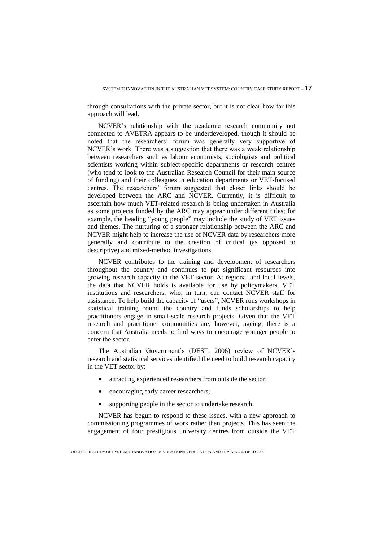through consultations with the private sector, but it is not clear how far this approach will lead.

NCVER's relationship with the academic research community not connected to AVETRA appears to be underdeveloped, though it should be noted that the researchers' forum was generally very supportive of NCVER's work. There was a suggestion that there was a weak relationship between researchers such as labour economists, sociologists and political scientists working within subject-specific departments or research centres (who tend to look to the Australian Research Council for their main source of funding) and their colleagues in education departments or VET-focused centres. The researchers' forum suggested that closer links should be developed between the ARC and NCVER. Currently, it is difficult to ascertain how much VET-related research is being undertaken in Australia as some projects funded by the ARC may appear under different titles; for example, the heading "young people" may include the study of VET issues and themes. The nurturing of a stronger relationship between the ARC and NCVER might help to increase the use of NCVER data by researchers more generally and contribute to the creation of critical (as opposed to descriptive) and mixed-method investigations.

NCVER contributes to the training and development of researchers throughout the country and continues to put significant resources into growing research capacity in the VET sector. At regional and local levels, the data that NCVER holds is available for use by policymakers, VET institutions and researchers, who, in turn, can contact NCVER staff for assistance. To help build the capacity of "users", NCVER runs workshops in statistical training round the country and funds scholarships to help practitioners engage in small-scale research projects. Given that the VET research and practitioner communities are, however, ageing, there is a concern that Australia needs to find ways to encourage younger people to enter the sector.

The Australian Government's (DEST, 2006) review of NCVER's research and statistical services identified the need to build research capacity in the VET sector by:

- attracting experienced researchers from outside the sector;
- encouraging early career researchers;
- supporting people in the sector to undertake research.

NCVER has begun to respond to these issues, with a new approach to commissioning programmes of work rather than projects. This has seen the engagement of four prestigious university centres from outside the VET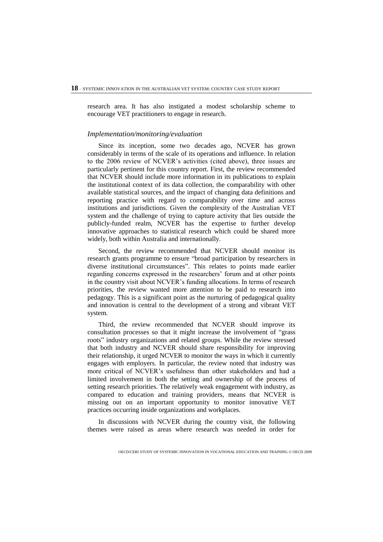research area. It has also instigated a modest scholarship scheme to encourage VET practitioners to engage in research.

#### *Implementation/monitoring/evaluation*

Since its inception, some two decades ago, NCVER has grown considerably in terms of the scale of its operations and influence. In relation to the 2006 review of NCVER's activities (cited above), three issues are particularly pertinent for this country report. First, the review recommended that NCVER should include more information in its publications to explain the institutional context of its data collection, the comparability with other available statistical sources, and the impact of changing data definitions and reporting practice with regard to comparability over time and across institutions and jurisdictions. Given the complexity of the Australian VET system and the challenge of trying to capture activity that lies outside the publicly-funded realm, NCVER has the expertise to further develop innovative approaches to statistical research which could be shared more widely, both within Australia and internationally.

Second, the review recommended that NCVER should monitor its research grants programme to ensure "broad participation by researchers in diverse institutional circumstances". This relates to points made earlier regarding concerns expressed in the researchers' forum and at other points in the country visit about NCVER's funding allocations. In terms of research priorities, the review wanted more attention to be paid to research into pedagogy. This is a significant point as the nurturing of pedagogical quality and innovation is central to the development of a strong and vibrant VET system.

Third, the review recommended that NCVER should improve its consultation processes so that it might increase the involvement of "grass roots" industry organizations and related groups. While the review stressed that both industry and NCVER should share responsibility for improving their relationship, it urged NCVER to monitor the ways in which it currently engages with employers. In particular, the review noted that industry was more critical of NCVER's usefulness than other stakeholders and had a limited involvement in both the setting and ownership of the process of setting research priorities. The relatively weak engagement with industry, as compared to education and training providers, means that NCVER is missing out on an important opportunity to monitor innovative VET practices occurring inside organizations and workplaces.

In discussions with NCVER during the country visit, the following themes were raised as areas where research was needed in order for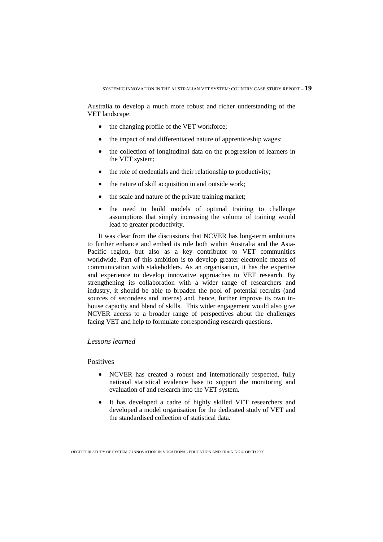Australia to develop a much more robust and richer understanding of the VET landscape:

- the changing profile of the VET workforce;
- the impact of and differentiated nature of apprenticeship wages;
- the collection of longitudinal data on the progression of learners in the VET system;
- the role of credentials and their relationship to productivity;
- the nature of skill acquisition in and outside work;
- the scale and nature of the private training market;
- the need to build models of optimal training to challenge assumptions that simply increasing the volume of training would lead to greater productivity.

It was clear from the discussions that NCVER has long-term ambitions to further enhance and embed its role both within Australia and the Asia-Pacific region, but also as a key contributor to VET communities worldwide. Part of this ambition is to develop greater electronic means of communication with stakeholders. As an organisation, it has the expertise and experience to develop innovative approaches to VET research. By strengthening its collaboration with a wider range of researchers and industry, it should be able to broaden the pool of potential recruits (and sources of secondees and interns) and, hence, further improve its own inhouse capacity and blend of skills. This wider engagement would also give NCVER access to a broader range of perspectives about the challenges facing VET and help to formulate corresponding research questions.

# *Lessons learned*

#### Positives

- NCVER has created a robust and internationally respected, fully national statistical evidence base to support the monitoring and evaluation of and research into the VET system.
- It has developed a cadre of highly skilled VET researchers and developed a model organisation for the dedicated study of VET and the standardised collection of statistical data.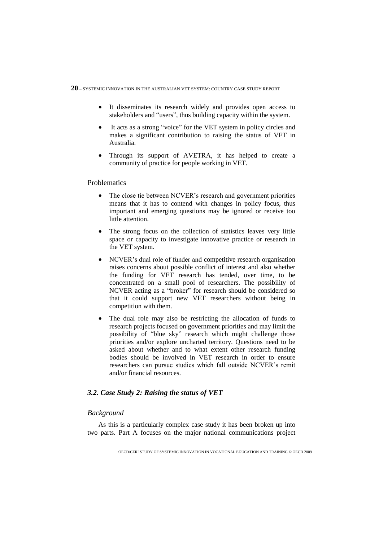- It disseminates its research widely and provides open access to stakeholders and "users", thus building capacity within the system.
- It acts as a strong "voice" for the VET system in policy circles and makes a significant contribution to raising the status of VET in Australia.
- Through its support of AVETRA, it has helped to create a community of practice for people working in VET.

# Problematics

- The close tie between NCVER's research and government priorities means that it has to contend with changes in policy focus, thus important and emerging questions may be ignored or receive too little attention.
- The strong focus on the collection of statistics leaves very little space or capacity to investigate innovative practice or research in the VET system.
- NCVER's dual role of funder and competitive research organisation raises concerns about possible conflict of interest and also whether the funding for VET research has tended, over time, to be concentrated on a small pool of researchers. The possibility of NCVER acting as a "broker" for research should be considered so that it could support new VET researchers without being in competition with them.
- The dual role may also be restricting the allocation of funds to research projects focused on government priorities and may limit the possibility of "blue sky" research which might challenge those priorities and/or explore uncharted territory. Questions need to be asked about whether and to what extent other research funding bodies should be involved in VET research in order to ensure researchers can pursue studies which fall outside NCVER's remit and/or financial resources.

# *3.2. Case Study 2: Raising the status of VET*

# *Background*

As this is a particularly complex case study it has been broken up into two parts. Part A focuses on the major national communications project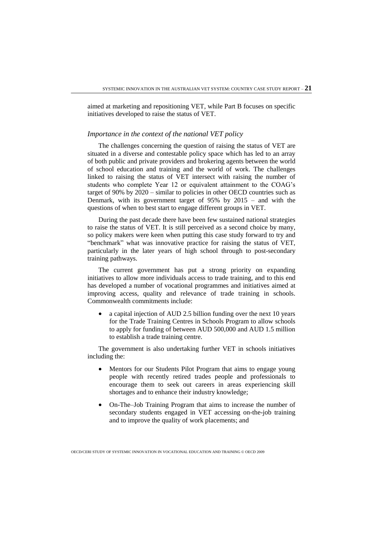aimed at marketing and repositioning VET, while Part B focuses on specific initiatives developed to raise the status of VET.

#### *Importance in the context of the national VET policy*

The challenges concerning the question of raising the status of VET are situated in a diverse and contestable policy space which has led to an array of both public and private providers and brokering agents between the world of school education and training and the world of work. The challenges linked to raising the status of VET intersect with raising the number of students who complete Year 12 or equivalent attainment to the COAG's target of 90% by 2020 – similar to policies in other OECD countries such as Denmark, with its government target of 95% by 2015 – and with the questions of when to best start to engage different groups in VET.

During the past decade there have been few sustained national strategies to raise the status of VET. It is still perceived as a second choice by many, so policy makers were keen when putting this case study forward to try and "benchmark" what was innovative practice for raising the status of VET, particularly in the later years of high school through to post-secondary training pathways.

The current government has put a strong priority on expanding initiatives to allow more individuals access to trade training, and to this end has developed a number of vocational programmes and initiatives aimed at improving access, quality and relevance of trade training in schools. Commonwealth commitments include:

 a capital injection of AUD 2.5 billion funding over the next 10 years for the Trade Training Centres in Schools Program to allow schools to apply for funding of between AUD 500,000 and AUD 1.5 million to establish a trade training centre.

The government is also undertaking further VET in schools initiatives including the:

- Mentors for our Students Pilot Program that aims to engage young people with recently retired trades people and professionals to encourage them to seek out careers in areas experiencing skill shortages and to enhance their industry knowledge;
- On-The–Job Training Program that aims to increase the number of secondary students engaged in VET accessing on-the-job training and to improve the quality of work placements; and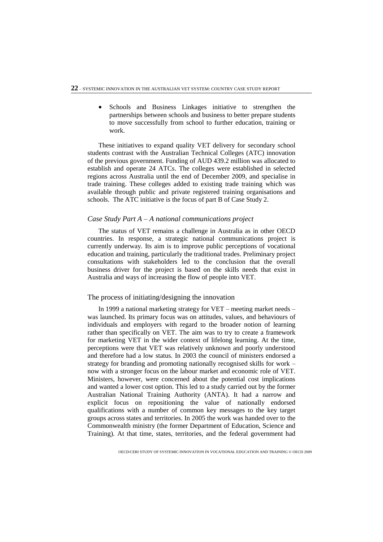Schools and Business Linkages initiative to strengthen the partnerships between schools and business to better prepare students to move successfully from school to further education, training or work.

These initiatives to expand quality VET delivery for secondary school students contrast with the Australian Technical Colleges (ATC) innovation of the previous government. Funding of AUD 439.2 million was allocated to establish and operate 24 ATCs. The colleges were established in selected regions across Australia until the end of December 2009, and specialise in trade training. These colleges added to existing trade training which was available through public and private registered training organisations and schools. The ATC initiative is the focus of part B of Case Study 2.

#### *Case Study Part A – A national communications project*

The status of VET remains a challenge in Australia as in other OECD countries. In response, a strategic national communications project is currently underway. Its aim is to improve public perceptions of vocational education and training, particularly the traditional trades. Preliminary project consultations with stakeholders led to the conclusion that the overall business driver for the project is based on the skills needs that exist in Australia and ways of increasing the flow of people into VET.

#### The process of initiating/designing the innovation

In 1999 a national marketing strategy for VET – meeting market needs – was launched. Its primary focus was on attitudes, values, and behaviours of individuals and employers with regard to the broader notion of learning rather than specifically on VET. The aim was to try to create a framework for marketing VET in the wider context of lifelong learning. At the time, perceptions were that VET was relatively unknown and poorly understood and therefore had a low status. In 2003 the council of ministers endorsed a strategy for branding and promoting nationally recognised skills for work – now with a stronger focus on the labour market and economic role of VET. Ministers, however, were concerned about the potential cost implications and wanted a lower cost option. This led to a study carried out by the former Australian National Training Authority (ANTA). It had a narrow and explicit focus on repositioning the value of nationally endorsed qualifications with a number of common key messages to the key target groups across states and territories. In 2005 the work was handed over to the Commonwealth ministry (the former Department of Education, Science and Training). At that time, states, territories, and the federal government had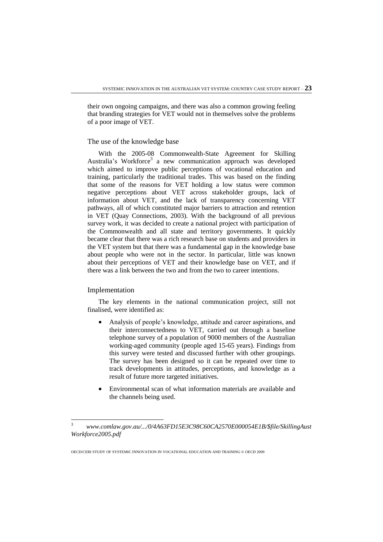their own ongoing campaigns, and there was also a common growing feeling that branding strategies for VET would not in themselves solve the problems of a poor image of VET.

#### The use of the knowledge base

With the 2005-08 Commonwealth-State Agreement for Skilling Australia's Workforce<sup>3</sup> a new communication approach was developed which aimed to improve public perceptions of vocational education and training, particularly the traditional trades. This was based on the finding that some of the reasons for VET holding a low status were common negative perceptions about VET across stakeholder groups, lack of information about VET, and the lack of transparency concerning VET pathways, all of which constituted major barriers to attraction and retention in VET (Quay Connections, 2003). With the background of all previous survey work, it was decided to create a national project with participation of the Commonwealth and all state and territory governments. It quickly became clear that there was a rich research base on students and providers in the VET system but that there was a fundamental gap in the knowledge base about people who were not in the sector. In particular, little was known about their perceptions of VET and their knowledge base on VET, and if there was a link between the two and from the two to career intentions.

#### Implementation

The key elements in the national communication project, still not finalised, were identified as:

- Analysis of people's knowledge, attitude and career aspirations, and their interconnectedness to VET, carried out through a baseline telephone survey of a population of 9000 members of the Australian working-aged community (people aged 15-65 years). Findings from this survey were tested and discussed further with other groupings. The survey has been designed so it can be repeated over time to track developments in attitudes, perceptions, and knowledge as a result of future more targeted initiatives.
- Environmental scan of what information materials are available and the channels being used.

 $\mathbf{3}$ <sup>3</sup> *www.comlaw.gov.au/.../0/4A63FD15E3C98C60CA2570E000054E1B/\$file/SkillingAust Workforce2005.pdf*

OECD/CERI STUDY OF SYSTEMIC INNOVATION IN VOCATIONAL EDUCATION AND TRAINING © OECD 2009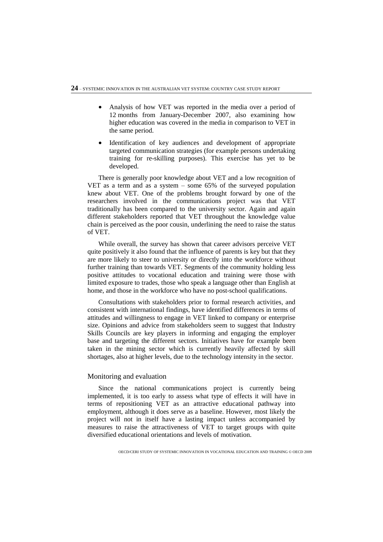- Analysis of how VET was reported in the media over a period of 12 months from January-December 2007, also examining how higher education was covered in the media in comparison to VET in the same period.
- Identification of key audiences and development of appropriate targeted communication strategies (for example persons undertaking training for re-skilling purposes). This exercise has yet to be developed.

There is generally poor knowledge about VET and a low recognition of VET as a term and as a system – some 65% of the surveyed population knew about VET. One of the problems brought forward by one of the researchers involved in the communications project was that VET traditionally has been compared to the university sector. Again and again different stakeholders reported that VET throughout the knowledge value chain is perceived as the poor cousin, underlining the need to raise the status of VET.

While overall, the survey has shown that career advisors perceive VET quite positively it also found that the influence of parents is key but that they are more likely to steer to university or directly into the workforce without further training than towards VET. Segments of the community holding less positive attitudes to vocational education and training were those with limited exposure to trades, those who speak a language other than English at home, and those in the workforce who have no post-school qualifications.

Consultations with stakeholders prior to formal research activities, and consistent with international findings, have identified differences in terms of attitudes and willingness to engage in VET linked to company or enterprise size. Opinions and advice from stakeholders seem to suggest that Industry Skills Councils are key players in informing and engaging the employer base and targeting the different sectors. Initiatives have for example been taken in the mining sector which is currently heavily affected by skill shortages, also at higher levels, due to the technology intensity in the sector.

#### Monitoring and evaluation

Since the national communications project is currently being implemented, it is too early to assess what type of effects it will have in terms of repositioning VET as an attractive educational pathway into employment, although it does serve as a baseline. However, most likely the project will not in itself have a lasting impact unless accompanied by measures to raise the attractiveness of VET to target groups with quite diversified educational orientations and levels of motivation.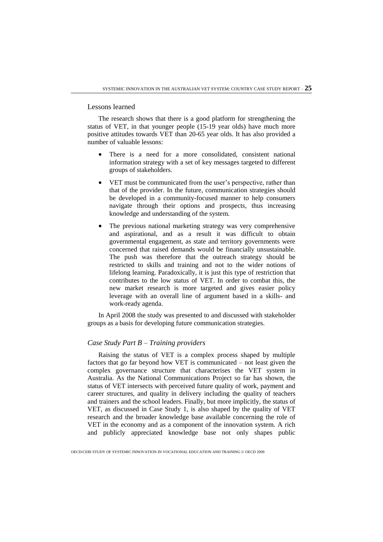#### Lessons learned

The research shows that there is a good platform for strengthening the status of VET, in that younger people (15-19 year olds) have much more positive attitudes towards VET than 20-65 year olds. It has also provided a number of valuable lessons:

- There is a need for a more consolidated, consistent national information strategy with a set of key messages targeted to different groups of stakeholders.
- VET must be communicated from the user's perspective, rather than that of the provider. In the future, communication strategies should be developed in a community-focused manner to help consumers navigate through their options and prospects, thus increasing knowledge and understanding of the system.
- The previous national marketing strategy was very comprehensive and aspirational, and as a result it was difficult to obtain governmental engagement, as state and territory governments were concerned that raised demands would be financially unsustainable. The push was therefore that the outreach strategy should be restricted to skills and training and not to the wider notions of lifelong learning. Paradoxically, it is just this type of restriction that contributes to the low status of VET. In order to combat this, the new market research is more targeted and gives easier policy leverage with an overall line of argument based in a skills- and work-ready agenda.

In April 2008 the study was presented to and discussed with stakeholder groups as a basis for developing future communication strategies.

#### *Case Study Part B – Training providers*

Raising the status of VET is a complex process shaped by multiple factors that go far beyond how VET is communicated – not least given the complex governance structure that characterises the VET system in Australia. As the National Communications Project so far has shown, the status of VET intersects with perceived future quality of work, payment and career structures, and quality in delivery including the quality of teachers and trainers and the school leaders. Finally, but more implicitly, the status of VET, as discussed in Case Study 1, is also shaped by the quality of VET research and the broader knowledge base available concerning the role of VET in the economy and as a component of the innovation system. A rich and publicly appreciated knowledge base not only shapes public

OECD/CERI STUDY OF SYSTEMIC INNOVATION IN VOCATIONAL EDUCATION AND TRAINING © OECD 2009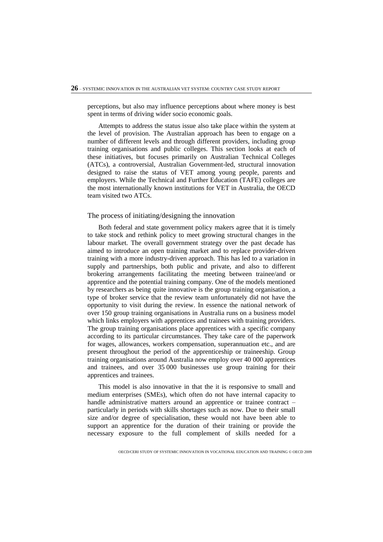perceptions, but also may influence perceptions about where money is best spent in terms of driving wider socio economic goals.

Attempts to address the status issue also take place within the system at the level of provision. The Australian approach has been to engage on a number of different levels and through different providers, including group training organisations and public colleges. This section looks at each of these initiatives, but focuses primarily on Australian Technical Colleges (ATCs), a controversial, Australian Government-led, structural innovation designed to raise the status of VET among young people, parents and employers. While the Technical and Further Education (TAFE) colleges are the most internationally known institutions for VET in Australia, the OECD team visited two ATCs.

#### The process of initiating/designing the innovation

Both federal and state government policy makers agree that it is timely to take stock and rethink policy to meet growing structural changes in the labour market. The overall government strategy over the past decade has aimed to introduce an open training market and to replace provider-driven training with a more industry-driven approach. This has led to a variation in supply and partnerships, both public and private, and also to different brokering arrangements facilitating the meeting between trainee/and or apprentice and the potential training company. One of the models mentioned by researchers as being quite innovative is the group training organisation, a type of broker service that the review team unfortunately did not have the opportunity to visit during the review. In essence the national network of over 150 group training organisations in Australia runs on a business model which links employers with apprentices and trainees with training providers. The group training organisations place apprentices with a specific company according to its particular circumstances. They take care of the paperwork for wages, allowances, workers compensation, superannuation etc., and are present throughout the period of the apprenticeship or traineeship. Group training organisations around Australia now employ over 40 000 apprentices and trainees, and over 35 000 businesses use group training for their apprentices and trainees.

This model is also innovative in that the it is responsive to small and medium enterprises (SMEs), which often do not have internal capacity to handle administrative matters around an apprentice or trainee contract – particularly in periods with skills shortages such as now. Due to their small size and/or degree of specialisation, these would not have been able to support an apprentice for the duration of their training or provide the necessary exposure to the full complement of skills needed for a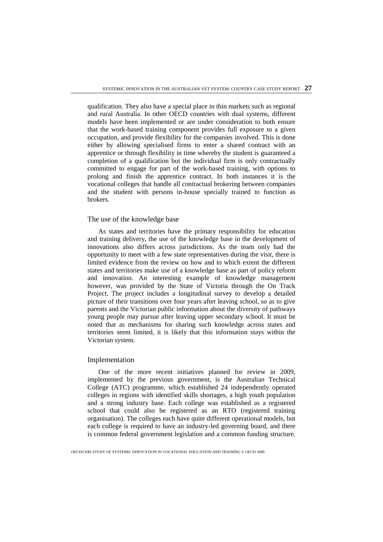qualification. They also have a special place in thin markets such as regional and rural Australia. In other OECD countries with dual systems, different models have been implemented or are under consideration to both ensure that the work-based training component provides full exposure to a given occupation, and provide flexibility for the companies involved. This is done either by allowing specialised firms to enter a shared contract with an apprentice or through flexibility in time whereby the student is guaranteed a completion of a qualification but the individual firm is only contractually committed to engage for part of the work-based training, with options to prolong and finish the apprentice contract. In both instances it is the vocational colleges that handle all contractual brokering between companies and the student with persons in-house specially trained to function as brokers.

#### The use of the knowledge base

As states and territories have the primary responsibility for education and training delivery, the use of the knowledge base in the development of innovations also differs across jurisdictions. As the team only had the opportunity to meet with a few state representatives during the visit, there is limited evidence from the review on how and to which extent the different states and territories make use of a knowledge base as part of policy reform and innovation. An interesting example of knowledge management however, was provided by the State of Victoria through the On Track Project. The project includes a longitudinal survey to develop a detailed picture of their transitions over four years after leaving school, so as to give parents and the Victorian public information about the diversity of pathways young people may pursue after leaving upper secondary school. It must be noted that as mechanisms for sharing such knowledge across states and territories seem limited, it is likely that this information stays within the Victorian system.

#### Implementation

One of the more recent initiatives planned for review in 2009, implemented by the previous government, is the Australian Technical College (ATC) programme, which established 24 independently operated colleges in regions with identified skills shortages, a high youth population and a strong industry base. Each college was established as a registered school that could also be registered as an RTO (registered training organisation). The colleges each have quite different operational models, but each college is required to have an industry-led governing board, and there is common federal government legislation and a common funding structure.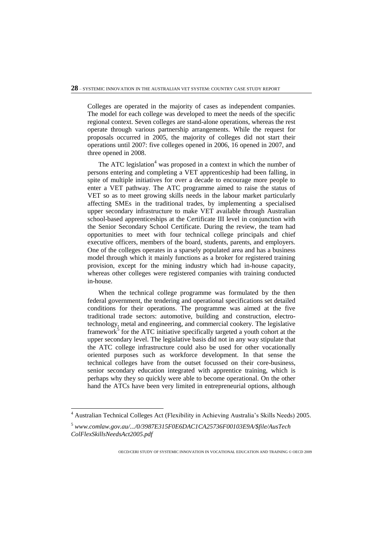Colleges are operated in the majority of cases as independent companies. The model for each college was developed to meet the needs of the specific regional context. Seven colleges are stand-alone operations, whereas the rest operate through various partnership arrangements. While the request for proposals occurred in 2005, the majority of colleges did not start their operations until 2007: five colleges opened in 2006, 16 opened in 2007, and three opened in 2008.

The ATC legislation<sup>4</sup> was proposed in a context in which the number of persons entering and completing a VET apprenticeship had been falling, in spite of multiple initiatives for over a decade to encourage more people to enter a VET pathway. The ATC programme aimed to raise the status of VET so as to meet growing skills needs in the labour market particularly affecting SMEs in the traditional trades, by implementing a specialised upper secondary infrastructure to make VET available through Australian school-based apprenticeships at the Certificate III level in conjunction with the Senior Secondary School Certificate. During the review, the team had opportunities to meet with four technical college principals and chief executive officers, members of the board, students, parents, and employers. One of the colleges operates in a sparsely populated area and has a business model through which it mainly functions as a broker for registered training provision, except for the mining industry which had in-house capacity, whereas other colleges were registered companies with training conducted in-house.

When the technical college programme was formulated by the then federal government, the tendering and operational specifications set detailed conditions for their operations. The programme was aimed at the five traditional trade sectors: automotive, building and construction, electrotechnology, metal and engineering, and commercial cookery. The legislative framework<sup>5</sup> for the ATC initiative specifically targeted a youth cohort at the upper secondary level. The legislative basis did not in any way stipulate that the ATC college infrastructure could also be used for other vocationally oriented purposes such as workforce development. In that sense the technical colleges have from the outset focussed on their core-business, senior secondary education integrated with apprentice training, which is perhaps why they so quickly were able to become operational. On the other hand the ATCs have been very limited in entrepreneurial options, although

 $\ddot{ }$ 

<sup>&</sup>lt;sup>4</sup> Australian Technical Colleges Act (Flexibility in Achieving Australia's Skills Needs) 2005.

<sup>5</sup> *www.comlaw.gov.au/.../0/3987E315F0E6DAC1CA25736F00103E9A/\$file/AusTech ColFlexSkillsNeedsAct2005.pdf*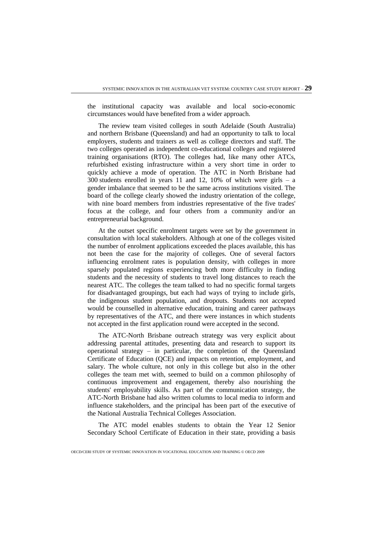the institutional capacity was available and local socio-economic circumstances would have benefited from a wider approach.

The review team visited colleges in south Adelaide (South Australia) and northern Brisbane (Queensland) and had an opportunity to talk to local employers, students and trainers as well as college directors and staff. The two colleges operated as independent co-educational colleges and registered training organisations (RTO). The colleges had, like many other ATCs, refurbished existing infrastructure within a very short time in order to quickly achieve a mode of operation. The ATC in North Brisbane had 300 students enrolled in years 11 and 12, 10% of which were girls – a gender imbalance that seemed to be the same across institutions visited. The board of the college clearly showed the industry orientation of the college, with nine board members from industries representative of the five trades' focus at the college, and four others from a community and/or an entrepreneurial background.

At the outset specific enrolment targets were set by the government in consultation with local stakeholders. Although at one of the colleges visited the number of enrolment applications exceeded the places available, this has not been the case for the majority of colleges. One of several factors influencing enrolment rates is population density, with colleges in more sparsely populated regions experiencing both more difficulty in finding students and the necessity of students to travel long distances to reach the nearest ATC. The colleges the team talked to had no specific formal targets for disadvantaged groupings, but each had ways of trying to include girls, the indigenous student population, and dropouts. Students not accepted would be counselled in alternative education, training and career pathways by representatives of the ATC, and there were instances in which students not accepted in the first application round were accepted in the second.

The ATC-North Brisbane outreach strategy was very explicit about addressing parental attitudes, presenting data and research to support its operational strategy – in particular, the completion of the Queensland Certificate of Education (QCE) and impacts on retention, employment, and salary. The whole culture, not only in this college but also in the other colleges the team met with, seemed to build on a common philosophy of continuous improvement and engagement, thereby also nourishing the students' employability skills. As part of the communication strategy, the ATC-North Brisbane had also written columns to local media to inform and influence stakeholders, and the principal has been part of the executive of the National Australia Technical Colleges Association.

The ATC model enables students to obtain the Year 12 Senior Secondary School Certificate of Education in their state, providing a basis

OECD/CERI STUDY OF SYSTEMIC INNOVATION IN VOCATIONAL EDUCATION AND TRAINING © OECD 2009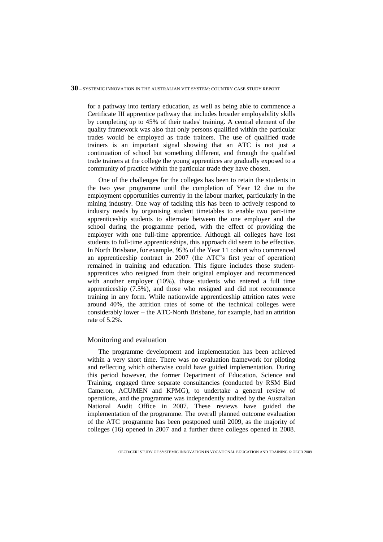for a pathway into tertiary education, as well as being able to commence a Certificate III apprentice pathway that includes broader employability skills by completing up to 45% of their trades' training. A central element of the quality framework was also that only persons qualified within the particular trades would be employed as trade trainers. The use of qualified trade trainers is an important signal showing that an ATC is not just a continuation of school but something different, and through the qualified trade trainers at the college the young apprentices are gradually exposed to a community of practice within the particular trade they have chosen.

One of the challenges for the colleges has been to retain the students in the two year programme until the completion of Year 12 due to the employment opportunities currently in the labour market, particularly in the mining industry. One way of tackling this has been to actively respond to industry needs by organising student timetables to enable two part-time apprenticeship students to alternate between the one employer and the school during the programme period, with the effect of providing the employer with one full-time apprentice. Although all colleges have lost students to full-time apprenticeships, this approach did seem to be effective. In North Brisbane, for example, 95% of the Year 11 cohort who commenced an apprenticeship contract in 2007 (the ATC's first year of operation) remained in training and education. This figure includes those studentapprentices who resigned from their original employer and recommenced with another employer (10%), those students who entered a full time apprenticeship (7.5%), and those who resigned and did not recommence training in any form. While nationwide apprenticeship attrition rates were around 40%, the attrition rates of some of the technical colleges were considerably lower – the ATC-North Brisbane, for example, had an attrition rate of 5.2%.

#### Monitoring and evaluation

The programme development and implementation has been achieved within a very short time. There was no evaluation framework for piloting and reflecting which otherwise could have guided implementation. During this period however, the former Department of Education, Science and Training, engaged three separate consultancies (conducted by RSM Bird Cameron, ACUMEN and KPMG), to undertake a general review of operations, and the programme was independently audited by the Australian National Audit Office in 2007. These reviews have guided the implementation of the programme. The overall planned outcome evaluation of the ATC programme has been postponed until 2009, as the majority of colleges (16) opened in 2007 and a further three colleges opened in 2008.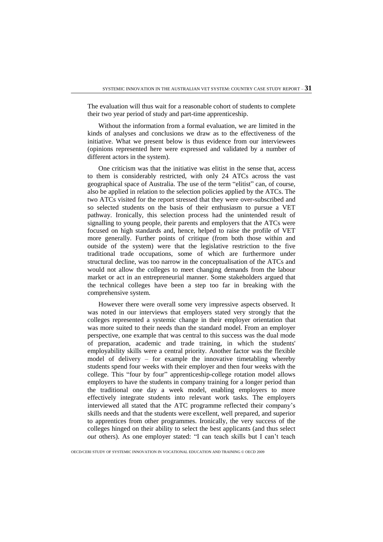The evaluation will thus wait for a reasonable cohort of students to complete their two year period of study and part-time apprenticeship.

Without the information from a formal evaluation, we are limited in the kinds of analyses and conclusions we draw as to the effectiveness of the initiative. What we present below is thus evidence from our interviewees (opinions represented here were expressed and validated by a number of different actors in the system).

One criticism was that the initiative was elitist in the sense that, access to them is considerably restricted, with only 24 ATCs across the vast geographical space of Australia. The use of the term "elitist" can, of course, also be applied in relation to the selection policies applied by the ATCs. The two ATCs visited for the report stressed that they were over-subscribed and so selected students on the basis of their enthusiasm to pursue a VET pathway. Ironically, this selection process had the unintended result of signalling to young people, their parents and employers that the ATCs were focused on high standards and, hence, helped to raise the profile of VET more generally. Further points of critique (from both those within and outside of the system) were that the legislative restriction to the five traditional trade occupations, some of which are furthermore under structural decline, was too narrow in the conceptualisation of the ATCs and would not allow the colleges to meet changing demands from the labour market or act in an entrepreneurial manner. Some stakeholders argued that the technical colleges have been a step too far in breaking with the comprehensive system.

However there were overall some very impressive aspects observed. It was noted in our interviews that employers stated very strongly that the colleges represented a systemic change in their employer orientation that was more suited to their needs than the standard model. From an employer perspective, one example that was central to this success was the dual mode of preparation, academic and trade training, in which the students' employability skills were a central priority. Another factor was the flexible model of delivery – for example the innovative timetabling whereby students spend four weeks with their employer and then four weeks with the college. This "four by four" apprenticeship-college rotation model allows employers to have the students in company training for a longer period than the traditional one day a week model, enabling employers to more effectively integrate students into relevant work tasks. The employers interviewed all stated that the ATC programme reflected their company's skills needs and that the students were excellent, well prepared, and superior to apprentices from other programmes. Ironically, the very success of the colleges hinged on their ability to select the best applicants (and thus select *out* others). As one employer stated: "I can teach skills but I can't teach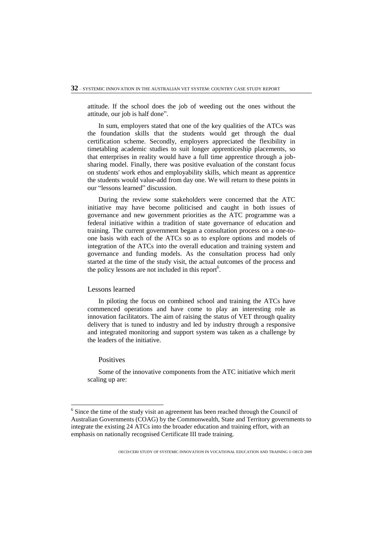attitude. If the school does the job of weeding out the ones without the attitude, our job is half done".

In sum, employers stated that one of the key qualities of the ATCs was the foundation skills that the students would get through the dual certification scheme. Secondly, employers appreciated the flexibility in timetabling academic studies to suit longer apprenticeship placements, so that enterprises in reality would have a full time apprentice through a jobsharing model. Finally, there was positive evaluation of the constant focus on students' work ethos and employability skills, which meant as apprentice the students would value-add from day one. We will return to these points in our "lessons learned" discussion.

During the review some stakeholders were concerned that the ATC initiative may have become politicised and caught in both issues of governance and new government priorities as the ATC programme was a federal initiative within a tradition of state governance of education and training. The current government began a consultation process on a one-toone basis with each of the ATCs so as to explore options and models of integration of the ATCs into the overall education and training system and governance and funding models. As the consultation process had only started at the time of the study visit, the actual outcomes of the process and the policy lessons are not included in this report<sup>6</sup>.

#### Lessons learned

In piloting the focus on combined school and training the ATCs have commenced operations and have come to play an interesting role as innovation facilitators. The aim of raising the status of VET through quality delivery that is tuned to industry and led by industry through a responsive and integrated monitoring and support system was taken as a challenge by the leaders of the initiative.

#### **Positives**

 $\overline{a}$ 

Some of the innovative components from the ATC initiative which merit scaling up are:

<sup>&</sup>lt;sup>6</sup> Since the time of the study visit an agreement has been reached through the Council of Australian Governments (COAG) by the Commonwealth, State and Territory governments to integrate the existing 24 ATCs into the broader education and training effort, with an emphasis on nationally recognised Certificate III trade training.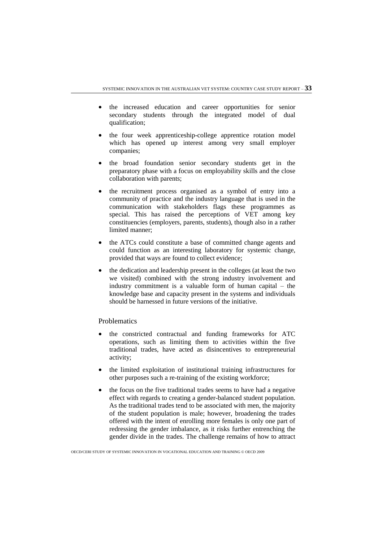- the increased education and career opportunities for senior secondary students through the integrated model of dual qualification;
- the four week apprenticeship-college apprentice rotation model which has opened up interest among very small employer companies;
- the broad foundation senior secondary students get in the preparatory phase with a focus on employability skills and the close collaboration with parents;
- the recruitment process organised as a symbol of entry into a community of practice and the industry language that is used in the communication with stakeholders flags these programmes as special. This has raised the perceptions of VET among key constituencies (employers, parents, students), though also in a rather limited manner;
- the ATCs could constitute a base of committed change agents and could function as an interesting laboratory for systemic change, provided that ways are found to collect evidence;
- the dedication and leadership present in the colleges (at least the two we visited) combined with the strong industry involvement and industry commitment is a valuable form of human capital – the knowledge base and capacity present in the systems and individuals should be harnessed in future versions of the initiative.

# **Problematics**

- the constricted contractual and funding frameworks for ATC operations, such as limiting them to activities within the five traditional trades, have acted as disincentives to entrepreneurial activity;
- the limited exploitation of institutional training infrastructures for other purposes such a re-training of the existing workforce;
- the focus on the five traditional trades seems to have had a negative effect with regards to creating a gender-balanced student population. As the traditional trades tend to be associated with men, the majority of the student population is male; however, broadening the trades offered with the intent of enrolling more females is only one part of redressing the gender imbalance, as it risks further entrenching the gender divide in the trades. The challenge remains of how to attract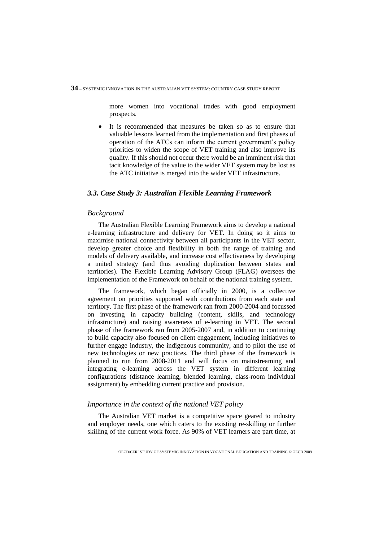more women into vocational trades with good employment prospects.

 It is recommended that measures be taken so as to ensure that valuable lessons learned from the implementation and first phases of operation of the ATCs can inform the current government's policy priorities to widen the scope of VET training and also improve its quality. If this should not occur there would be an imminent risk that tacit knowledge of the value to the wider VET system may be lost as the ATC initiative is merged into the wider VET infrastructure.

#### *3.3. Case Study 3: Australian Flexible Learning Framework*

#### *Background*

The Australian Flexible Learning Framework aims to develop a national e-learning infrastructure and delivery for VET. In doing so it aims to maximise national connectivity between all participants in the VET sector, develop greater choice and flexibility in both the range of training and models of delivery available, and increase cost effectiveness by developing a united strategy (and thus avoiding duplication between states and territories). The Flexible Learning Advisory Group (FLAG) oversees the implementation of the Framework on behalf of the national training system.

The framework, which began officially in 2000, is a collective agreement on priorities supported with contributions from each state and territory. The first phase of the framework ran from 2000-2004 and focussed on investing in capacity building (content, skills, and technology infrastructure) and raising awareness of e-learning in VET. The second phase of the framework ran from 2005-2007 and, in addition to continuing to build capacity also focused on client engagement, including initiatives to further engage industry, the indigenous community, and to pilot the use of new technologies or new practices. The third phase of the framework is planned to run from 2008-2011 and will focus on mainstreaming and integrating e-learning across the VET system in different learning configurations (distance learning, blended learning, class-room individual assignment) by embedding current practice and provision.

#### *Importance in the context of the national VET policy*

The Australian VET market is a competitive space geared to industry and employer needs, one which caters to the existing re-skilling or further skilling of the current work force. As 90% of VET learners are part time, at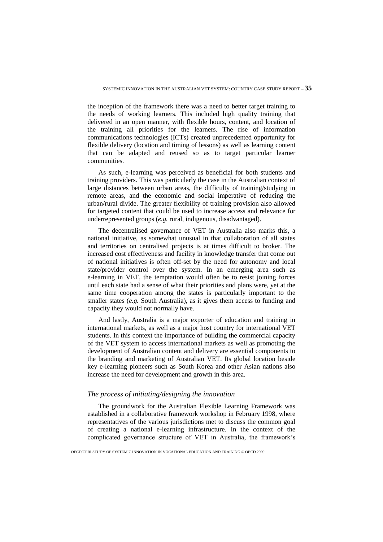the inception of the framework there was a need to better target training to the needs of working learners. This included high quality training that delivered in an open manner, with flexible hours, content, and location of the training all priorities for the learners. The rise of information communications technologies (ICTs) created unprecedented opportunity for flexible delivery (location and timing of lessons) as well as learning content that can be adapted and reused so as to target particular learner communities.

As such, e-learning was perceived as beneficial for both students and training providers. This was particularly the case in the Australian context of large distances between urban areas, the difficulty of training/studying in remote areas, and the economic and social imperative of reducing the urban/rural divide. The greater flexibility of training provision also allowed for targeted content that could be used to increase access and relevance for underrepresented groups (*e.g.* rural, indigenous, disadvantaged).

The decentralised governance of VET in Australia also marks this, a national initiative, as somewhat unusual in that collaboration of all states and territories on centralised projects is at times difficult to broker. The increased cost effectiveness and facility in knowledge transfer that come out of national initiatives is often off-set by the need for autonomy and local state/provider control over the system. In an emerging area such as e-learning in VET, the temptation would often be to resist joining forces until each state had a sense of what their priorities and plans were, yet at the same time cooperation among the states is particularly important to the smaller states (*e.g.* South Australia), as it gives them access to funding and capacity they would not normally have.

And lastly, Australia is a major exporter of education and training in international markets, as well as a major host country for international VET students. In this context the importance of building the commercial capacity of the VET system to access international markets as well as promoting the development of Australian content and delivery are essential components to the branding and marketing of Australian VET. Its global location beside key e-learning pioneers such as South Korea and other Asian nations also increase the need for development and growth in this area.

#### *The process of initiating/designing the innovation*

The groundwork for the Australian Flexible Learning Framework was established in a collaborative framework workshop in February 1998, where representatives of the various jurisdictions met to discuss the common goal of creating a national e-learning infrastructure. In the context of the complicated governance structure of VET in Australia, the framework's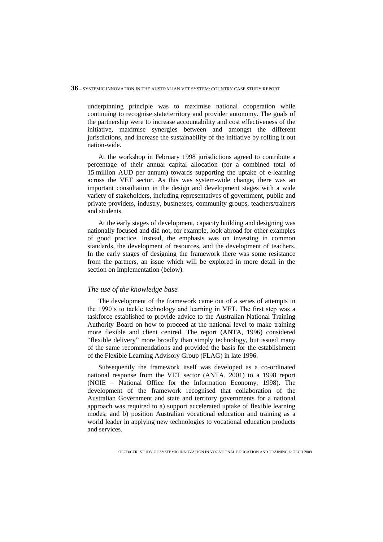underpinning principle was to maximise national cooperation while continuing to recognise state/territory and provider autonomy. The goals of the partnership were to increase accountability and cost effectiveness of the initiative, maximise synergies between and amongst the different jurisdictions, and increase the sustainability of the initiative by rolling it out nation-wide.

At the workshop in February 1998 jurisdictions agreed to contribute a percentage of their annual capital allocation (for a combined total of 15 million AUD per annum) towards supporting the uptake of e-learning across the VET sector. As this was system-wide change, there was an important consultation in the design and development stages with a wide variety of stakeholders, including representatives of government, public and private providers, industry, businesses, community groups, teachers/trainers and students.

At the early stages of development, capacity building and designing was nationally focused and did not, for example, look abroad for other examples of good practice. Instead, the emphasis was on investing in common standards, the development of resources, and the development of teachers. In the early stages of designing the framework there was some resistance from the partners, an issue which will be explored in more detail in the section on Implementation (below).

#### *The use of the knowledge base*

The development of the framework came out of a series of attempts in the 1990's to tackle technology and learning in VET. The first step was a taskforce established to provide advice to the Australian National Training Authority Board on how to proceed at the national level to make training more flexible and client centred. The report (ANTA, 1996) considered "flexible delivery" more broadly than simply technology, but issued many of the same recommendations and provided the basis for the establishment of the Flexible Learning Advisory Group (FLAG) in late 1996.

Subsequently the framework itself was developed as a co-ordinated national response from the VET sector (ANTA, 2001) to a 1998 report (NOIE – National Office for the Information Economy, 1998). The development of the framework recognised that collaboration of the Australian Government and state and territory governments for a national approach was required to a) support accelerated uptake of flexible learning modes; and b) position Australian vocational education and training as a world leader in applying new technologies to vocational education products and services.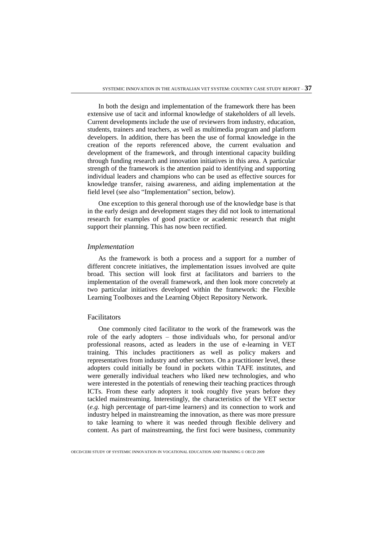In both the design and implementation of the framework there has been extensive use of tacit and informal knowledge of stakeholders of all levels. Current developments include the use of reviewers from industry, education, students, trainers and teachers, as well as multimedia program and platform developers. In addition, there has been the use of formal knowledge in the creation of the reports referenced above, the current evaluation and development of the framework, and through intentional capacity building through funding research and innovation initiatives in this area. A particular strength of the framework is the attention paid to identifying and supporting individual leaders and champions who can be used as effective sources for knowledge transfer, raising awareness, and aiding implementation at the field level (see also "Implementation" section, below).

One exception to this general thorough use of the knowledge base is that in the early design and development stages they did not look to international research for examples of good practice or academic research that might support their planning. This has now been rectified.

#### *Implementation*

As the framework is both a process and a support for a number of different concrete initiatives, the implementation issues involved are quite broad. This section will look first at facilitators and barriers to the implementation of the overall framework, and then look more concretely at two particular initiatives developed within the framework: the Flexible Learning Toolboxes and the Learning Object Repository Network.

#### Facilitators

One commonly cited facilitator to the work of the framework was the role of the early adopters – those individuals who, for personal and/or professional reasons, acted as leaders in the use of e-learning in VET training. This includes practitioners as well as policy makers and representatives from industry and other sectors. On a practitioner level, these adopters could initially be found in pockets within TAFE institutes, and were generally individual teachers who liked new technologies, and who were interested in the potentials of renewing their teaching practices through ICTs. From these early adopters it took roughly five years before they tackled mainstreaming. Interestingly, the characteristics of the VET sector (*e.g.* high percentage of part-time learners) and its connection to work and industry helped in mainstreaming the innovation, as there was more pressure to take learning to where it was needed through flexible delivery and content. As part of mainstreaming, the first foci were business, community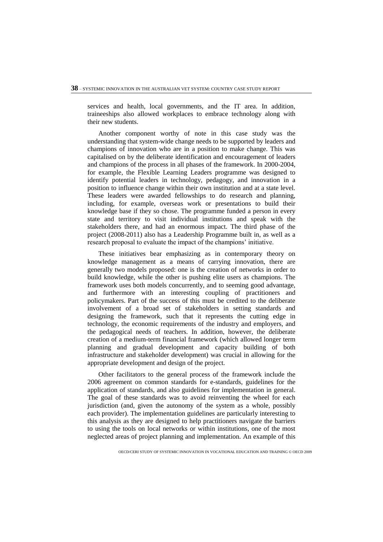services and health, local governments, and the IT area. In addition, traineeships also allowed workplaces to embrace technology along with their new students.

Another component worthy of note in this case study was the understanding that system-wide change needs to be supported by leaders and champions of innovation who are in a position to make change. This was capitalised on by the deliberate identification and encouragement of leaders and champions of the process in all phases of the framework. In 2000-2004, for example, the Flexible Learning Leaders programme was designed to identify potential leaders in technology, pedagogy, and innovation in a position to influence change within their own institution and at a state level. These leaders were awarded fellowships to do research and planning, including, for example, overseas work or presentations to build their knowledge base if they so chose. The programme funded a person in every state and territory to visit individual institutions and speak with the stakeholders there, and had an enormous impact. The third phase of the project (2008-2011) also has a Leadership Programme built in, as well as a research proposal to evaluate the impact of the champions' initiative.

These initiatives bear emphasizing as in contemporary theory on knowledge management as a means of carrying innovation, there are generally two models proposed: one is the creation of networks in order to build knowledge, while the other is pushing elite users as champions. The framework uses both models concurrently, and to seeming good advantage, and furthermore with an interesting coupling of practitioners and policymakers. Part of the success of this must be credited to the deliberate involvement of a broad set of stakeholders in setting standards and designing the framework, such that it represents the cutting edge in technology, the economic requirements of the industry and employers, and the pedagogical needs of teachers. In addition, however, the deliberate creation of a medium-term financial framework (which allowed longer term planning and gradual development and capacity building of both infrastructure and stakeholder development) was crucial in allowing for the appropriate development and design of the project.

Other facilitators to the general process of the framework include the 2006 agreement on common standards for e-standards, guidelines for the application of standards, and also guidelines for implementation in general. The goal of these standards was to avoid reinventing the wheel for each jurisdiction (and, given the autonomy of the system as a whole, possibly each provider). The implementation guidelines are particularly interesting to this analysis as they are designed to help practitioners navigate the barriers to using the tools on local networks or within institutions, one of the most neglected areas of project planning and implementation. An example of this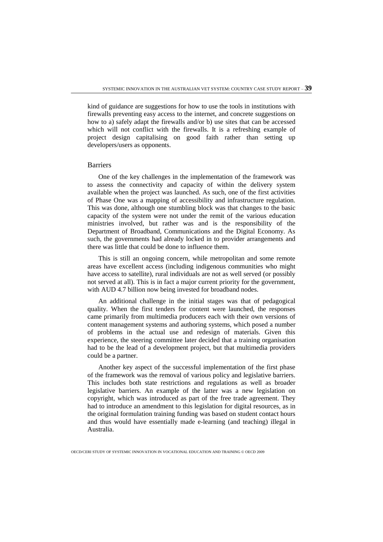kind of guidance are suggestions for how to use the tools in institutions with firewalls preventing easy access to the internet, and concrete suggestions on how to a) safely adapt the firewalls and/or b) use sites that can be accessed which will not conflict with the firewalls. It is a refreshing example of project design capitalising on good faith rather than setting up developers/users as opponents.

#### **Barriers**

One of the key challenges in the implementation of the framework was to assess the connectivity and capacity of within the delivery system available when the project was launched. As such, one of the first activities of Phase One was a mapping of accessibility and infrastructure regulation. This was done, although one stumbling block was that changes to the basic capacity of the system were not under the remit of the various education ministries involved, but rather was and is the responsibility of the Department of Broadband, Communications and the Digital Economy. As such, the governments had already locked in to provider arrangements and there was little that could be done to influence them.

This is still an ongoing concern, while metropolitan and some remote areas have excellent access (including indigenous communities who might have access to satellite), rural individuals are not as well served (or possibly not served at all). This is in fact a major current priority for the government, with AUD 4.7 billion now being invested for broadband nodes.

An additional challenge in the initial stages was that of pedagogical quality. When the first tenders for content were launched, the responses came primarily from multimedia producers each with their own versions of content management systems and authoring systems, which posed a number of problems in the actual use and redesign of materials. Given this experience, the steering committee later decided that a training organisation had to be the lead of a development project, but that multimedia providers could be a partner.

Another key aspect of the successful implementation of the first phase of the framework was the removal of various policy and legislative barriers. This includes both state restrictions and regulations as well as broader legislative barriers. An example of the latter was a new legislation on copyright, which was introduced as part of the free trade agreement. They had to introduce an amendment to this legislation for digital resources, as in the original formulation training funding was based on student contact hours and thus would have essentially made e-learning (and teaching) illegal in Australia.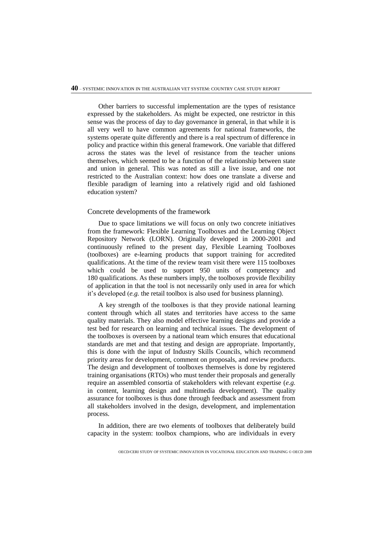Other barriers to successful implementation are the types of resistance expressed by the stakeholders. As might be expected, one restrictor in this sense was the process of day to day governance in general, in that while it is all very well to have common agreements for national frameworks, the systems operate quite differently and there is a real spectrum of difference in policy and practice within this general framework. One variable that differed across the states was the level of resistance from the teacher unions themselves, which seemed to be a function of the relationship between state and union in general. This was noted as still a live issue, and one not restricted to the Australian context: how does one translate a diverse and flexible paradigm of learning into a relatively rigid and old fashioned education system?

#### Concrete developments of the framework

Due to space limitations we will focus on only two concrete initiatives from the framework: Flexible Learning Toolboxes and the Learning Object Repository Network (LORN). Originally developed in 2000-2001 and continuously refined to the present day, Flexible Learning Toolboxes (toolboxes) are e-learning products that support training for accredited qualifications. At the time of the review team visit there were 115 toolboxes which could be used to support 950 units of competency and 180 qualifications. As these numbers imply, the toolboxes provide flexibility of application in that the tool is not necessarily only used in area for which it's developed (*e.g.* the retail toolbox is also used for business planning).

A key strength of the toolboxes is that they provide national learning content through which all states and territories have access to the same quality materials. They also model effective learning designs and provide a test bed for research on learning and technical issues. The development of the toolboxes is overseen by a national team which ensures that educational standards are met and that testing and design are appropriate. Importantly, this is done with the input of Industry Skills Councils, which recommend priority areas for development, comment on proposals, and review products. The design and development of toolboxes themselves is done by registered training organisations (RTOs) who must tender their proposals and generally require an assembled consortia of stakeholders with relevant expertise (*e.g.* in content, learning design and multimedia development). The quality assurance for toolboxes is thus done through feedback and assessment from all stakeholders involved in the design, development, and implementation process.

In addition, there are two elements of toolboxes that deliberately build capacity in the system: toolbox champions, who are individuals in every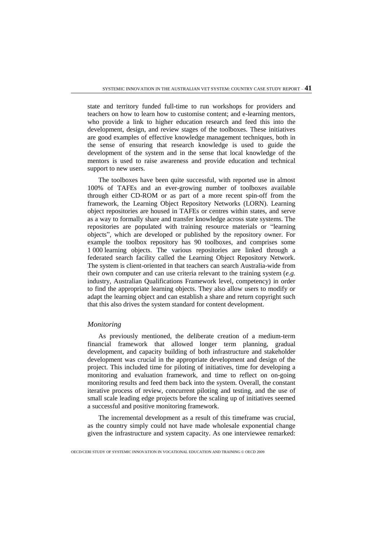state and territory funded full-time to run workshops for providers and teachers on how to learn how to customise content; and e-learning mentors, who provide a link to higher education research and feed this into the development, design, and review stages of the toolboxes. These initiatives are good examples of effective knowledge management techniques, both in the sense of ensuring that research knowledge is used to guide the development of the system and in the sense that local knowledge of the mentors is used to raise awareness and provide education and technical support to new users.

The toolboxes have been quite successful, with reported use in almost 100% of TAFEs and an ever-growing number of toolboxes available through either CD-ROM or as part of a more recent spin-off from the framework, the Learning Object Repository Networks (LORN). Learning object repositories are housed in TAFEs or centres within states, and serve as a way to formally share and transfer knowledge across state systems. The repositories are populated with training resource materials or "learning objects", which are developed or published by the repository owner. For example the toolbox repository has 90 toolboxes, and comprises some 1 000 learning objects. The various repositories are linked through a federated search facility called the Learning Object Repository Network. The system is client-oriented in that teachers can search Australia-wide from their own computer and can use criteria relevant to the training system (*e.g.* industry, Australian Qualifications Framework level, competency) in order to find the appropriate learning objects. They also allow users to modify or adapt the learning object and can establish a share and return copyright such that this also drives the system standard for content development.

#### *Monitoring*

As previously mentioned, the deliberate creation of a medium-term financial framework that allowed longer term planning, gradual development, and capacity building of both infrastructure and stakeholder development was crucial in the appropriate development and design of the project. This included time for piloting of initiatives, time for developing a monitoring and evaluation framework, and time to reflect on on-going monitoring results and feed them back into the system. Overall, the constant iterative process of review, concurrent piloting and testing, and the use of small scale leading edge projects before the scaling up of initiatives seemed a successful and positive monitoring framework.

The incremental development as a result of this timeframe was crucial, as the country simply could not have made wholesale exponential change given the infrastructure and system capacity. As one interviewee remarked: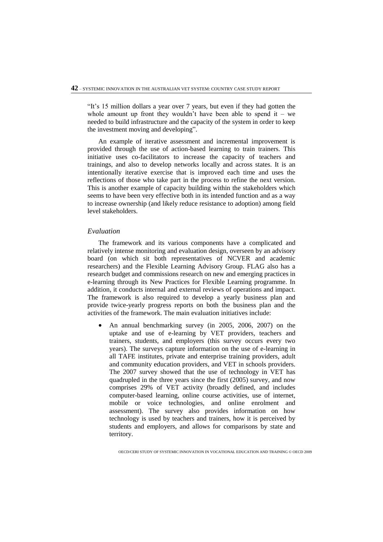"It's 15 million dollars a year over 7 years, but even if they had gotten the whole amount up front they wouldn't have been able to spend it – we needed to build infrastructure and the capacity of the system in order to keep the investment moving and developing".

An example of iterative assessment and incremental improvement is provided through the use of action-based learning to train trainers. This initiative uses co-facilitators to increase the capacity of teachers and trainings, and also to develop networks locally and across states. It is an intentionally iterative exercise that is improved each time and uses the reflections of those who take part in the process to refine the next version. This is another example of capacity building within the stakeholders which seems to have been very effective both in its intended function and as a way to increase ownership (and likely reduce resistance to adoption) among field level stakeholders.

#### *Evaluation*

The framework and its various components have a complicated and relatively intense monitoring and evaluation design, overseen by an advisory board (on which sit both representatives of NCVER and academic researchers) and the Flexible Learning Advisory Group. FLAG also has a research budget and commissions research on new and emerging practices in e-learning through its New Practices for Flexible Learning programme. In addition, it conducts internal and external reviews of operations and impact. The framework is also required to develop a yearly business plan and provide twice-yearly progress reports on both the business plan and the activities of the framework. The main evaluation initiatives include:

 An annual benchmarking survey (in 2005, 2006, 2007) on the uptake and use of e-learning by VET providers, teachers and trainers, students, and employers (this survey occurs every two years). The surveys capture information on the use of e-learning in all TAFE institutes, private and enterprise training providers, adult and community education providers, and VET in schools providers. The 2007 survey showed that the use of technology in VET has quadrupled in the three years since the first (2005) survey, and now comprises 29% of VET activity (broadly defined, and includes computer-based learning, online course activities, use of internet, mobile or voice technologies, and online enrolment and assessment). The survey also provides information on how technology is used by teachers and trainers, how it is perceived by students and employers, and allows for comparisons by state and territory.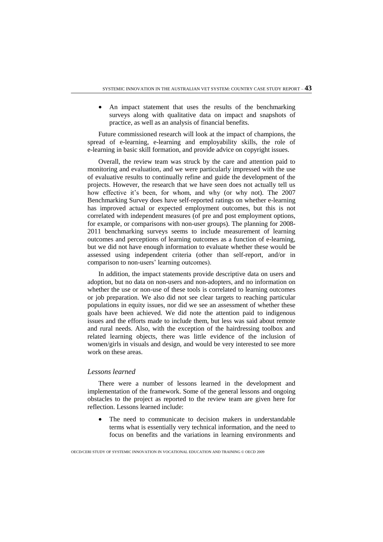An impact statement that uses the results of the benchmarking surveys along with qualitative data on impact and snapshots of practice, as well as an analysis of financial benefits.

Future commissioned research will look at the impact of champions, the spread of e-learning, e-learning and employability skills, the role of e-learning in basic skill formation, and provide advice on copyright issues.

Overall, the review team was struck by the care and attention paid to monitoring and evaluation, and we were particularly impressed with the use of evaluative results to continually refine and guide the development of the projects. However, the research that we have seen does not actually tell us how effective it's been, for whom, and why (or why not). The 2007 Benchmarking Survey does have self-reported ratings on whether e-learning has improved actual or expected employment outcomes, but this is not correlated with independent measures (of pre and post employment options, for example, or comparisons with non-user groups). The planning for 2008- 2011 benchmarking surveys seems to include measurement of learning outcomes and perceptions of learning outcomes as a function of e-learning, but we did not have enough information to evaluate whether these would be assessed using independent criteria (other than self-report, and/or in comparison to non-users' learning outcomes).

In addition, the impact statements provide descriptive data on users and adoption, but no data on non-users and non-adopters, and no information on whether the use or non-use of these tools is correlated to learning outcomes or job preparation. We also did not see clear targets to reaching particular populations in equity issues, nor did we see an assessment of whether these goals have been achieved. We did note the attention paid to indigenous issues and the efforts made to include them, but less was said about remote and rural needs. Also, with the exception of the hairdressing toolbox and related learning objects, there was little evidence of the inclusion of women/girls in visuals and design, and would be very interested to see more work on these areas.

#### *Lessons learned*

There were a number of lessons learned in the development and implementation of the framework. Some of the general lessons and ongoing obstacles to the project as reported to the review team are given here for reflection. Lessons learned include:

• The need to communicate to decision makers in understandable terms what is essentially very technical information, and the need to focus on benefits and the variations in learning environments and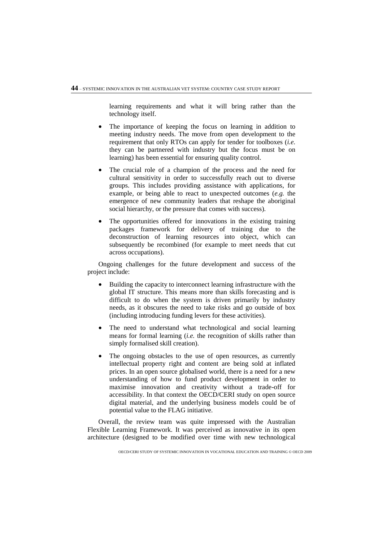learning requirements and what it will bring rather than the technology itself.

- The importance of keeping the focus on learning in addition to meeting industry needs. The move from open development to the requirement that only RTOs can apply for tender for toolboxes (*i.e.* they can be partnered with industry but the focus must be on learning) has been essential for ensuring quality control.
- The crucial role of a champion of the process and the need for cultural sensitivity in order to successfully reach out to diverse groups. This includes providing assistance with applications, for example, or being able to react to unexpected outcomes (*e.g.* the emergence of new community leaders that reshape the aboriginal social hierarchy, or the pressure that comes with success).
- The opportunities offered for innovations in the existing training packages framework for delivery of training due to the deconstruction of learning resources into object, which can subsequently be recombined (for example to meet needs that cut across occupations).

Ongoing challenges for the future development and success of the project include:

- Building the capacity to interconnect learning infrastructure with the global IT structure. This means more than skills forecasting and is difficult to do when the system is driven primarily by industry needs, as it obscures the need to take risks and go outside of box (including introducing funding levers for these activities).
- The need to understand what technological and social learning means for formal learning (*i.e.* the recognition of skills rather than simply formalised skill creation).
- The ongoing obstacles to the use of open resources, as currently intellectual property right and content are being sold at inflated prices. In an open source globalised world, there is a need for a new understanding of how to fund product development in order to maximise innovation and creativity without a trade-off for accessibility. In that context the OECD/CERI study on open source digital material, and the underlying business models could be of potential value to the FLAG initiative.

Overall, the review team was quite impressed with the Australian Flexible Learning Framework. It was perceived as innovative in its open architecture (designed to be modified over time with new technological

OECD/CERI STUDY OF SYSTEMIC INNOVATION IN VOCATIONAL EDUCATION AND TRAINING © OECD 2009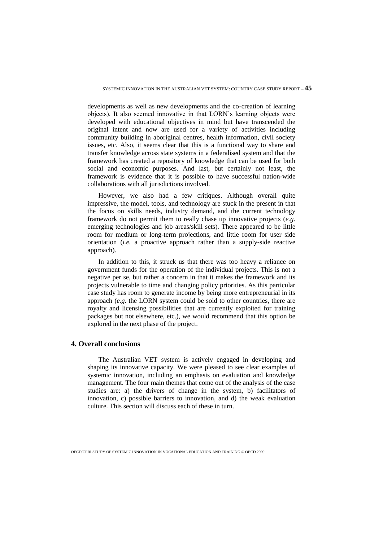developments as well as new developments and the co-creation of learning objects). It also seemed innovative in that LORN's learning objects were developed with educational objectives in mind but have transcended the original intent and now are used for a variety of activities including community building in aboriginal centres, health information, civil society issues, etc. Also, it seems clear that this is a functional way to share and transfer knowledge across state systems in a federalised system and that the framework has created a repository of knowledge that can be used for both social and economic purposes. And last, but certainly not least, the framework is evidence that it is possible to have successful nation-wide collaborations with all jurisdictions involved.

However, we also had a few critiques. Although overall quite impressive, the model, tools, and technology are stuck in the present in that the focus on skills needs, industry demand, and the current technology framework do not permit them to really chase up innovative projects (*e.g.* emerging technologies and job areas/skill sets). There appeared to be little room for medium or long-term projections, and little room for user side orientation (*i.e.* a proactive approach rather than a supply-side reactive approach).

In addition to this, it struck us that there was too heavy a reliance on government funds for the operation of the individual projects. This is not a negative per se, but rather a concern in that it makes the framework and its projects vulnerable to time and changing policy priorities. As this particular case study has room to generate income by being more entrepreneurial in its approach (*e.g.* the LORN system could be sold to other countries, there are royalty and licensing possibilities that are currently exploited for training packages but not elsewhere, etc.), we would recommend that this option be explored in the next phase of the project.

# **4. Overall conclusions**

The Australian VET system is actively engaged in developing and shaping its innovative capacity. We were pleased to see clear examples of systemic innovation, including an emphasis on evaluation and knowledge management. The four main themes that come out of the analysis of the case studies are: a) the drivers of change in the system, b) facilitators of innovation, c) possible barriers to innovation, and d) the weak evaluation culture. This section will discuss each of these in turn.

OECD/CERI STUDY OF SYSTEMIC INNOVATION IN VOCATIONAL EDUCATION AND TRAINING © OECD 2009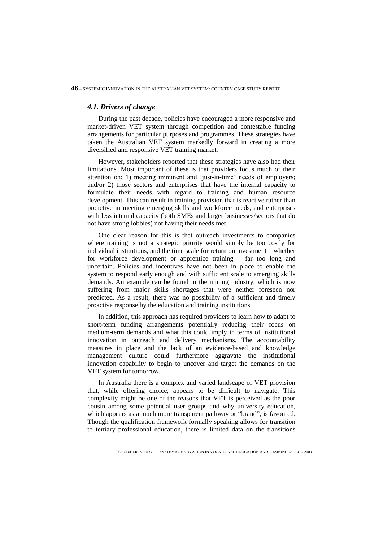### *4.1. Drivers of change*

During the past decade, policies have encouraged a more responsive and market-driven VET system through competition and contestable funding arrangements for particular purposes and programmes. These strategies have taken the Australian VET system markedly forward in creating a more diversified and responsive VET training market.

However, stakeholders reported that these strategies have also had their limitations. Most important of these is that providers focus much of their attention on: 1) meeting imminent and 'just-in-time' needs of employers; and/or 2) those sectors and enterprises that have the internal capacity to formulate their needs with regard to training and human resource development. This can result in training provision that is reactive rather than proactive in meeting emerging skills and workforce needs, and enterprises with less internal capacity (both SMEs and larger businesses/sectors that do not have strong lobbies) not having their needs met.

One clear reason for this is that outreach investments to companies where training is not a strategic priority would simply be too costly for individual institutions, and the time scale for return on investment – whether for workforce development or apprentice training – far too long and uncertain. Policies and incentives have not been in place to enable the system to respond early enough and with sufficient scale to emerging skills demands. An example can be found in the mining industry, which is now suffering from major skills shortages that were neither foreseen nor predicted. As a result, there was no possibility of a sufficient and timely proactive response by the education and training institutions.

In addition, this approach has required providers to learn how to adapt to short-term funding arrangements potentially reducing their focus on medium-term demands and what this could imply in terms of institutional innovation in outreach and delivery mechanisms. The accountability measures in place and the lack of an evidence-based and knowledge management culture could furthermore aggravate the institutional innovation capability to begin to uncover and target the demands on the VET system for tomorrow.

In Australia there is a complex and varied landscape of VET provision that, while offering choice, appears to be difficult to navigate. This complexity might be one of the reasons that VET is perceived as the poor cousin among some potential user groups and why university education, which appears as a much more transparent pathway or "brand", is favoured. Though the qualification framework formally speaking allows for transition to tertiary professional education, there is limited data on the transitions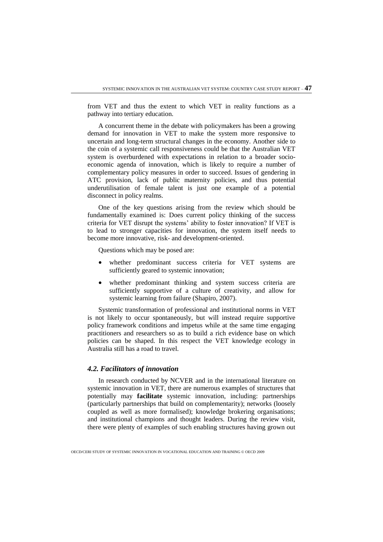from VET and thus the extent to which VET in reality functions as a pathway into tertiary education.

A concurrent theme in the debate with policymakers has been a growing demand for innovation in VET to make the system more responsive to uncertain and long-term structural changes in the economy. Another side to the coin of a systemic call responsiveness could be that the Australian VET system is overburdened with expectations in relation to a broader socioeconomic agenda of innovation, which is likely to require a number of complementary policy measures in order to succeed. Issues of gendering in ATC provision, lack of public maternity policies, and thus potential underutilisation of female talent is just one example of a potential disconnect in policy realms.

One of the key questions arising from the review which should be fundamentally examined is: Does current policy thinking of the success criteria for VET disrupt the systems' ability to foster innovation? If VET is to lead to stronger capacities for innovation, the system itself needs to become more innovative, risk- and development-oriented.

Questions which may be posed are:

- whether predominant success criteria for VET systems are sufficiently geared to systemic innovation;
- whether predominant thinking and system success criteria are sufficiently supportive of a culture of creativity, and allow for systemic learning from failure (Shapiro, 2007).

Systemic transformation of professional and institutional norms in VET is not likely to occur spontaneously, but will instead require supportive policy framework conditions and impetus while at the same time engaging practitioners and researchers so as to build a rich evidence base on which policies can be shaped. In this respect the VET knowledge ecology in Australia still has a road to travel.

#### *4.2. Facilitators of innovation*

In research conducted by NCVER and in the international literature on systemic innovation in VET, there are numerous examples of structures that potentially may **facilitate** systemic innovation, including: partnerships (particularly partnerships that build on complementarity); networks (loosely coupled as well as more formalised); knowledge brokering organisations; and institutional champions and thought leaders. During the review visit, there were plenty of examples of such enabling structures having grown out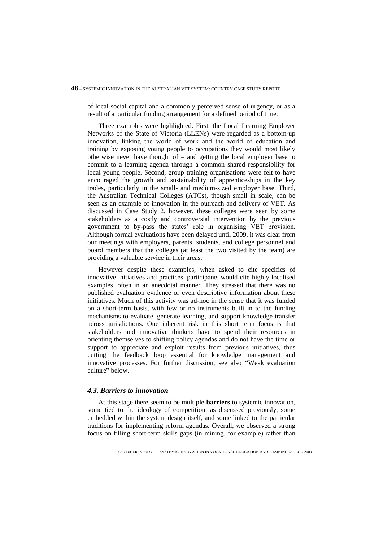of local social capital and a commonly perceived sense of urgency, or as a result of a particular funding arrangement for a defined period of time.

Three examples were highlighted. First, the Local Learning Employer Networks of the State of Victoria (LLENs) were regarded as a bottom-up innovation, linking the world of work and the world of education and training by exposing young people to occupations they would most likely otherwise never have thought of – and getting the local employer base to commit to a learning agenda through a common shared responsibility for local young people. Second, group training organisations were felt to have encouraged the growth and sustainability of apprenticeships in the key trades, particularly in the small- and medium-sized employer base. Third, the Australian Technical Colleges (ATCs), though small in scale, can be seen as an example of innovation in the outreach and delivery of VET. As discussed in Case Study 2, however, these colleges were seen by some stakeholders as a costly and controversial intervention by the previous government to by-pass the states' role in organising VET provision. Although formal evaluations have been delayed until 2009, it was clear from our meetings with employers, parents, students, and college personnel and board members that the colleges (at least the two visited by the team) are providing a valuable service in their areas.

However despite these examples, when asked to cite specifics of innovative initiatives and practices, participants would cite highly localised examples, often in an anecdotal manner. They stressed that there was no published evaluation evidence or even descriptive information about these initiatives. Much of this activity was ad-hoc in the sense that it was funded on a short-term basis, with few or no instruments built in to the funding mechanisms to evaluate, generate learning, and support knowledge transfer across jurisdictions. One inherent risk in this short term focus is that stakeholders and innovative thinkers have to spend their resources in orienting themselves to shifting policy agendas and do not have the time or support to appreciate and exploit results from previous initiatives, thus cutting the feedback loop essential for knowledge management and innovative processes. For further discussion, see also "Weak evaluation culture" below.

# *4.3. Barriers to innovation*

At this stage there seem to be multiple **barriers** to systemic innovation, some tied to the ideology of competition, as discussed previously, some embedded within the system design itself, and some linked to the particular traditions for implementing reform agendas. Overall, we observed a strong focus on filling short-term skills gaps (in mining, for example) rather than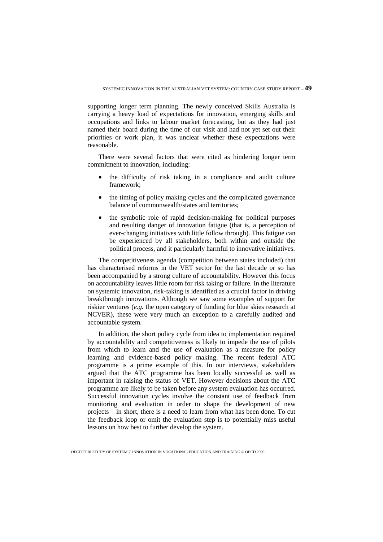supporting longer term planning. The newly conceived Skills Australia is carrying a heavy load of expectations for innovation, emerging skills and occupations and links to labour market forecasting, but as they had just named their board during the time of our visit and had not yet set out their priorities or work plan, it was unclear whether these expectations were reasonable.

There were several factors that were cited as hindering longer term commitment to innovation, including:

- the difficulty of risk taking in a compliance and audit culture framework;
- the timing of policy making cycles and the complicated governance balance of commonwealth/states and territories;
- the symbolic role of rapid decision-making for political purposes and resulting danger of innovation fatigue (that is, a perception of ever-changing initiatives with little follow through). This fatigue can be experienced by all stakeholders, both within and outside the political process, and it particularly harmful to innovative initiatives.

The competitiveness agenda (competition between states included) that has characterised reforms in the VET sector for the last decade or so has been accompanied by a strong culture of accountability. However this focus on accountability leaves little room for risk taking or failure. In the literature on systemic innovation, risk-taking is identified as a crucial factor in driving breakthrough innovations. Although we saw some examples of support for riskier ventures (*e.g.* the open category of funding for blue skies research at NCVER), these were very much an exception to a carefully audited and accountable system.

In addition, the short policy cycle from idea to implementation required by accountability and competitiveness is likely to impede the use of pilots from which to learn and the use of evaluation as a measure for policy learning and evidence-based policy making. The recent federal ATC programme is a prime example of this. In our interviews, stakeholders argued that the ATC programme has been locally successful as well as important in raising the status of VET. However decisions about the ATC programme are likely to be taken before any system evaluation has occurred. Successful innovation cycles involve the constant use of feedback from monitoring and evaluation in order to shape the development of new projects – in short, there is a need to learn from what has been done. To cut the feedback loop or omit the evaluation step is to potentially miss useful lessons on how best to further develop the system.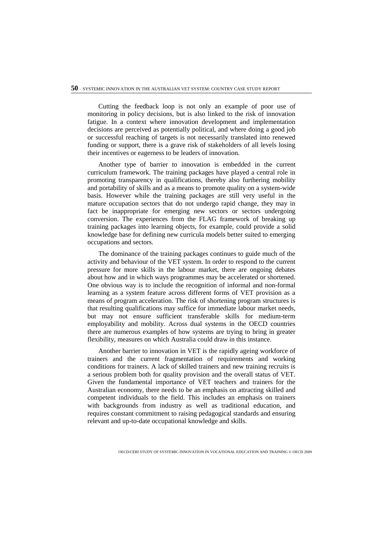Cutting the feedback loop is not only an example of poor use of monitoring in policy decisions, but is also linked to the risk of innovation fatigue. In a context where innovation development and implementation decisions are perceived as potentially political, and where doing a good job or successful reaching of targets is not necessarily translated into renewed funding or support, there is a grave risk of stakeholders of all levels losing their incentives or eagerness to be leaders of innovation.

Another type of barrier to innovation is embedded in the current curriculum framework. The training packages have played a central role in promoting transparency in qualifications, thereby also furthering mobility and portability of skills and as a means to promote quality on a system-wide basis. However while the training packages are still very useful in the mature occupation sectors that do not undergo rapid change, they may in fact be inappropriate for emerging new sectors or sectors undergoing conversion. The experiences from the FLAG framework of breaking up training packages into learning objects, for example, could provide a solid knowledge base for defining new curricula models better suited to emerging occupations and sectors.

The dominance of the training packages continues to guide much of the activity and behaviour of the VET system. In order to respond to the current pressure for more skills in the labour market, there are ongoing debates about how and in which ways programmes may be accelerated or shortened. One obvious way is to include the recognition of informal and non-formal learning as a system feature across different forms of VET provision as a means of program acceleration. The risk of shortening program structures is that resulting qualifications may suffice for immediate labour market needs, but may not ensure sufficient transferable skills for medium-term employability and mobility. Across dual systems in the OECD countries there are numerous examples of how systems are trying to bring in greater flexibility, measures on which Australia could draw in this instance.

Another barrier to innovation in VET is the rapidly ageing workforce of trainers and the current fragmentation of requirements and working conditions for trainers. A lack of skilled trainers and new training recruits is a serious problem both for quality provision and the overall status of VET. Given the fundamental importance of VET teachers and trainers for the Australian economy, there needs to be an emphasis on attracting skilled and competent individuals to the field. This includes an emphasis on trainers with backgrounds from industry as well as traditional education, and requires constant commitment to raising pedagogical standards and ensuring relevant and up-to-date occupational knowledge and skills.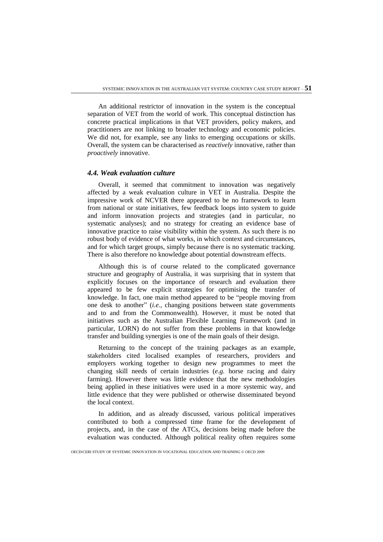An additional restrictor of innovation in the system is the conceptual separation of VET from the world of work. This conceptual distinction has concrete practical implications in that VET providers, policy makers, and practitioners are not linking to broader technology and economic policies. We did not, for example, see any links to emerging occupations or skills. Overall, the system can be characterised as *reactively* innovative, rather than *proactively* innovative.

#### *4.4. Weak evaluation culture*

Overall, it seemed that commitment to innovation was negatively affected by a weak evaluation culture in VET in Australia. Despite the impressive work of NCVER there appeared to be no framework to learn from national or state initiatives, few feedback loops into system to guide and inform innovation projects and strategies (and in particular, no systematic analyses); and no strategy for creating an evidence base of innovative practice to raise visibility within the system. As such there is no robust body of evidence of what works, in which context and circumstances, and for which target groups, simply because there is no systematic tracking. There is also therefore no knowledge about potential downstream effects.

Although this is of course related to the complicated governance structure and geography of Australia, it was surprising that in system that explicitly focuses on the importance of research and evaluation there appeared to be few explicit strategies for optimising the transfer of knowledge. In fact, one main method appeared to be "people moving from one desk to another" (*i.e.*, changing positions between state governments and to and from the Commonwealth). However, it must be noted that initiatives such as the Australian Flexible Learning Framework (and in particular, LORN) do not suffer from these problems in that knowledge transfer and building synergies is one of the main goals of their design.

Returning to the concept of the training packages as an example, stakeholders cited localised examples of researchers, providers and employers working together to design new programmes to meet the changing skill needs of certain industries (*e.g.* horse racing and dairy farming). However there was little evidence that the new methodologies being applied in these initiatives were used in a more systemic way, and little evidence that they were published or otherwise disseminated beyond the local context.

In addition, and as already discussed, various political imperatives contributed to both a compressed time frame for the development of projects, and, in the case of the ATCs, decisions being made before the evaluation was conducted. Although political reality often requires some

OECD/CERI STUDY OF SYSTEMIC INNOVATION IN VOCATIONAL EDUCATION AND TRAINING © OECD 2009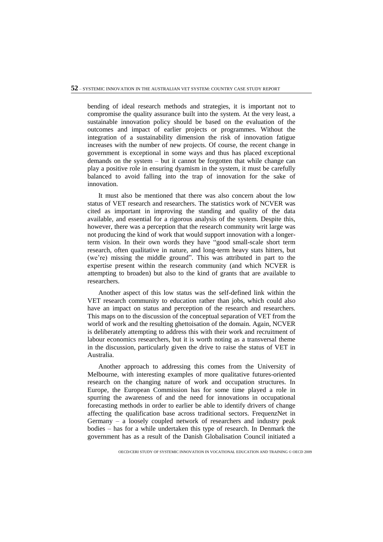bending of ideal research methods and strategies, it is important not to compromise the quality assurance built into the system. At the very least, a sustainable innovation policy should be based on the evaluation of the outcomes and impact of earlier projects or programmes. Without the integration of a sustainability dimension the risk of innovation fatigue increases with the number of new projects. Of course, the recent change in government is exceptional in some ways and thus has placed exceptional demands on the system – but it cannot be forgotten that while change can play a positive role in ensuring dyamism in the system, it must be carefully balanced to avoid falling into the trap of innovation for the sake of innovation.

It must also be mentioned that there was also concern about the low status of VET research and researchers. The statistics work of NCVER was cited as important in improving the standing and quality of the data available, and essential for a rigorous analysis of the system. Despite this, however, there was a perception that the research community writ large was not producing the kind of work that would support innovation with a longerterm vision. In their own words they have "good small-scale short term research, often qualitative in nature, and long-term heavy stats hitters, but (we're) missing the middle ground". This was attributed in part to the expertise present within the research community (and which NCVER is attempting to broaden) but also to the kind of grants that are available to researchers.

Another aspect of this low status was the self-defined link within the VET research community to education rather than jobs, which could also have an impact on status and perception of the research and researchers. This maps on to the discussion of the conceptual separation of VET from the world of work and the resulting ghettoisation of the domain. Again, NCVER is deliberately attempting to address this with their work and recruitment of labour economics researchers, but it is worth noting as a transversal theme in the discussion, particularly given the drive to raise the status of VET in Australia.

Another approach to addressing this comes from the University of Melbourne, with interesting examples of more qualitative futures-oriented research on the changing nature of work and occupation structures. In Europe, the European Commission has for some time played a role in spurring the awareness of and the need for innovations in occupational forecasting methods in order to earlier be able to identify drivers of change affecting the qualification base across traditional sectors. FrequenzNet in Germany – a loosely coupled network of researchers and industry peak bodies – has for a while undertaken this type of research. In Denmark the government has as a result of the Danish Globalisation Council initiated a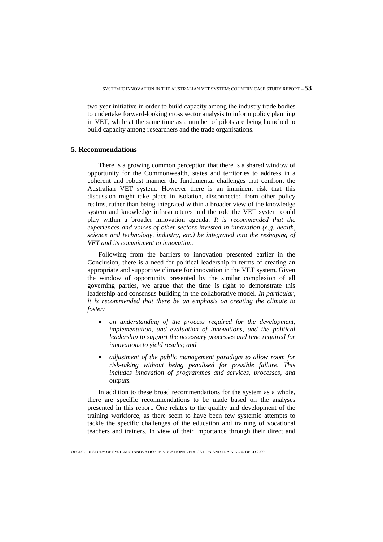two year initiative in order to build capacity among the industry trade bodies to undertake forward-looking cross sector analysis to inform policy planning in VET, while at the same time as a number of pilots are being launched to build capacity among researchers and the trade organisations.

#### **5. Recommendations**

There is a growing common perception that there is a shared window of opportunity for the Commonwealth, states and territories to address in a coherent and robust manner the fundamental challenges that confront the Australian VET system. However there is an imminent risk that this discussion might take place in isolation, disconnected from other policy realms, rather than being integrated within a broader view of the knowledge system and knowledge infrastructures and the role the VET system could play within a broader innovation agenda. *It is recommended that the experiences and voices of other sectors invested in innovation (e.g. health, science and technology, industry, etc.) be integrated into the reshaping of VET and its commitment to innovation.*

Following from the barriers to innovation presented earlier in the Conclusion, there is a need for political leadership in terms of creating an appropriate and supportive climate for innovation in the VET system. Given the window of opportunity presented by the similar complexion of all governing parties, we argue that the time is right to demonstrate this leadership and consensus building in the collaborative model. *In particular, it is recommended that there be an emphasis on creating the climate to foster:*

- *an understanding of the process required for the development, implementation, and evaluation of innovations, and the political leadership to support the necessary processes and time required for innovations to yield results; and*
- *adjustment of the public management paradigm to allow room for risk-taking without being penalised for possible failure. This includes innovation of programmes and services, processes, and outputs.*

In addition to these broad recommendations for the system as a whole, there are specific recommendations to be made based on the analyses presented in this report. One relates to the quality and development of the training workforce, as there seem to have been few systemic attempts to tackle the specific challenges of the education and training of vocational teachers and trainers. In view of their importance through their direct and

OECD/CERI STUDY OF SYSTEMIC INNOVATION IN VOCATIONAL EDUCATION AND TRAINING © OECD 2009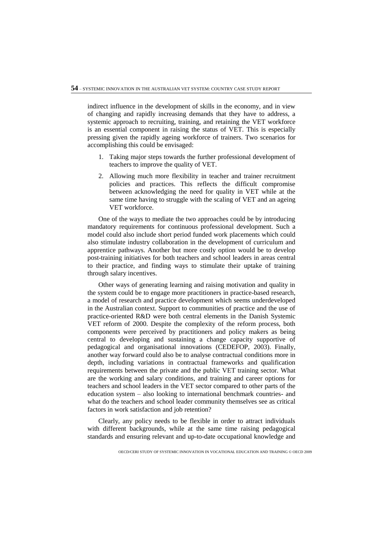indirect influence in the development of skills in the economy, and in view of changing and rapidly increasing demands that they have to address, a systemic approach to recruiting, training, and retaining the VET workforce is an essential component in raising the status of VET. This is especially pressing given the rapidly ageing workforce of trainers. Two scenarios for accomplishing this could be envisaged:

- 1. Taking major steps towards the further professional development of teachers to improve the quality of VET.
- 2. Allowing much more flexibility in teacher and trainer recruitment policies and practices. This reflects the difficult compromise between acknowledging the need for quality in VET while at the same time having to struggle with the scaling of VET and an ageing VET workforce.

One of the ways to mediate the two approaches could be by introducing mandatory requirements for continuous professional development. Such a model could also include short period funded work placements which could also stimulate industry collaboration in the development of curriculum and apprentice pathways. Another but more costly option would be to develop post-training initiatives for both teachers and school leaders in areas central to their practice, and finding ways to stimulate their uptake of training through salary incentives.

Other ways of generating learning and raising motivation and quality in the system could be to engage more practitioners in practice-based research, a model of research and practice development which seems underdeveloped in the Australian context. Support to communities of practice and the use of practice-oriented R&D were both central elements in the Danish Systemic VET reform of 2000. Despite the complexity of the reform process, both components were perceived by practitioners and policy makers as being central to developing and sustaining a change capacity supportive of pedagogical and organisational innovations (CEDEFOP, 2003). Finally, another way forward could also be to analyse contractual conditions more in depth, including variations in contractual frameworks and qualification requirements between the private and the public VET training sector. What are the working and salary conditions, and training and career options for teachers and school leaders in the VET sector compared to other parts of the education system – also looking to international benchmark countries- and what do the teachers and school leader community themselves see as critical factors in work satisfaction and job retention?

Clearly, any policy needs to be flexible in order to attract individuals with different backgrounds, while at the same time raising pedagogical standards and ensuring relevant and up-to-date occupational knowledge and

OECD/CERI STUDY OF SYSTEMIC INNOVATION IN VOCATIONAL EDUCATION AND TRAINING © OECD 2009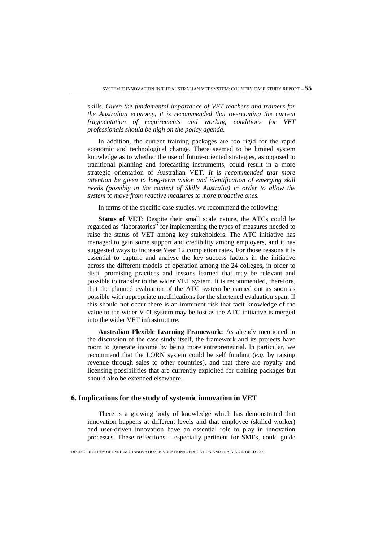skills. *Given the fundamental importance of VET teachers and trainers for the Australian economy, it is recommended that overcoming the current fragmentation of requirements and working conditions for VET professionals should be high on the policy agenda.*

In addition, the current training packages are too rigid for the rapid economic and technological change. There seemed to be limited system knowledge as to whether the use of future-oriented strategies, as opposed to traditional planning and forecasting instruments, could result in a more strategic orientation of Australian VET. *It is recommended that more attention be given to long-term vision and identification of emerging skill needs (possibly in the context of Skills Australia) in order to allow the system to move from reactive measures to more proactive ones.*

In terms of the specific case studies, we recommend the following:

**Status of VET**: Despite their small scale nature, the ATCs could be regarded as "laboratories" for implementing the types of measures needed to raise the status of VET among key stakeholders. The ATC initiative has managed to gain some support and credibility among employers, and it has suggested ways to increase Year 12 completion rates. For those reasons it is essential to capture and analyse the key success factors in the initiative across the different models of operation among the 24 colleges, in order to distil promising practices and lessons learned that may be relevant and possible to transfer to the wider VET system. It is recommended, therefore, that the planned evaluation of the ATC system be carried out as soon as possible with appropriate modifications for the shortened evaluation span. If this should not occur there is an imminent risk that tacit knowledge of the value to the wider VET system may be lost as the ATC initiative is merged into the wider VET infrastructure.

**Australian Flexible Learning Framework:** As already mentioned in the discussion of the case study itself, the framework and its projects have room to generate income by being more entrepreneurial. In particular, we recommend that the LORN system could be self funding (*e.g.* by raising revenue through sales to other countries), and that there are royalty and licensing possibilities that are currently exploited for training packages but should also be extended elsewhere.

# **6. Implications for the study of systemic innovation in VET**

There is a growing body of knowledge which has demonstrated that innovation happens at different levels and that employee (skilled worker) and user-driven innovation have an essential role to play in innovation processes. These reflections – especially pertinent for SMEs, could guide

OECD/CERI STUDY OF SYSTEMIC INNOVATION IN VOCATIONAL EDUCATION AND TRAINING © OECD 2009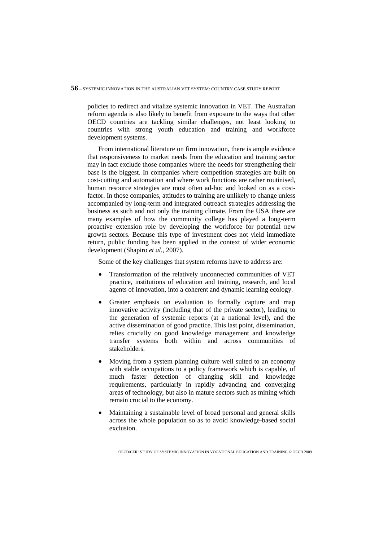policies to redirect and vitalize systemic innovation in VET. The Australian reform agenda is also likely to benefit from exposure to the ways that other OECD countries are tackling similar challenges, not least looking to countries with strong youth education and training and workforce development systems.

From international literature on firm innovation, there is ample evidence that responsiveness to market needs from the education and training sector may in fact exclude those companies where the needs for strengthening their base is the biggest. In companies where competition strategies are built on cost-cutting and automation and where work functions are rather routinised, human resource strategies are most often ad-hoc and looked on as a costfactor. In those companies, attitudes to training are unlikely to change unless accompanied by long-term and integrated outreach strategies addressing the business as such and not only the training climate. From the USA there are many examples of how the community college has played a long-term proactive extension role by developing the workforce for potential new growth sectors. Because this type of investment does not yield immediate return, public funding has been applied in the context of wider economic development (Shapiro *et al.*, 2007).

Some of the key challenges that system reforms have to address are:

- Transformation of the relatively unconnected communities of VET practice, institutions of education and training, research, and local agents of innovation, into a coherent and dynamic learning ecology.
- Greater emphasis on evaluation to formally capture and map innovative activity (including that of the private sector), leading to the generation of systemic reports (at a national level), and the active dissemination of good practice. This last point, dissemination, relies crucially on good knowledge management and knowledge transfer systems both within and across communities of stakeholders.
- Moving from a system planning culture well suited to an economy with stable occupations to a policy framework which is capable, of much faster detection of changing skill and knowledge requirements, particularly in rapidly advancing and converging areas of technology, but also in mature sectors such as mining which remain crucial to the economy.
- Maintaining a sustainable level of broad personal and general skills across the whole population so as to avoid knowledge-based social exclusion.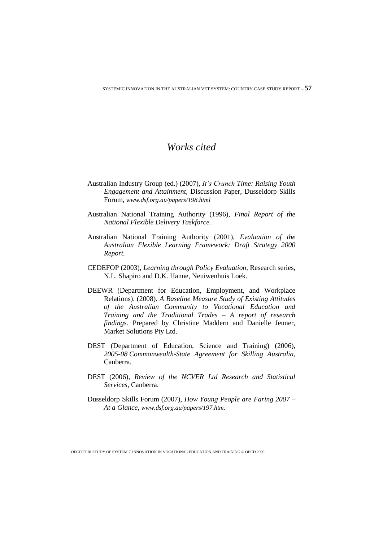# *Works cited*

- Australian Industry Group (ed.) (2007), *It's Crunch Time: Raising Youth Engagement and Attainment,* Discussion Paper, Dusseldorp Skills Forum, *www.dsf.org.au/papers/198.html*
- Australian National Training Authority (1996), *Final Report of the National Flexible Delivery Taskforce.*
- Australian National Training Authority (2001), *Evaluation of the Australian Flexible Learning Framework: Draft Strategy 2000 Report.*
- CEDEFOP (2003), *Learning through Policy Evaluation*, Research series, N.L. Shapiro and D.K. Hanne, Neuiwenhuis Loek.
- DEEWR (Department for Education, Employment, and Workplace Relations). (2008). *A Baseline Measure Study of Existing Attitudes of the Australian Community to Vocational Education and Training and the Traditional Trades – A report of research findings.* Prepared by Christine Maddern and Danielle Jenner, Market Solutions Pty Ltd.
- DEST (Department of Education, Science and Training) (2006), *2005-08 Commonwealth-State Agreement for Skilling Australia*, Canberra.
- DEST (2006), *Review of the NCVER Ltd Research and Statistical Services*, Canberra.
- Dusseldorp Skills Forum (2007), *How Young People are Faring 2007 – At a Glance, www.dsf.org.au/papers/197.htm*.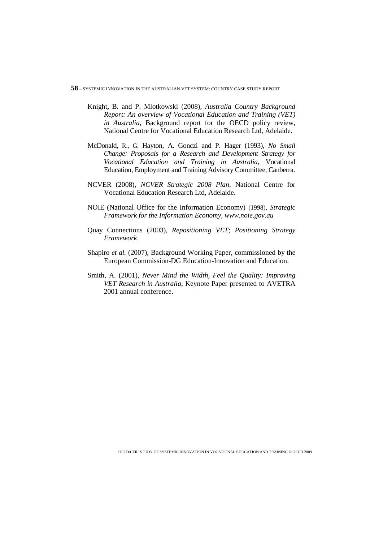- Knight**,** B. and P. Mlotkowski (2008), *Australia Country Background Report: An overview of Vocational Education and Training (VET) in Australia*, Background report for the OECD policy review, National Centre for Vocational Education Research Ltd, Adelaide.
- McDonald, R., G. Hayton, A. Gonczi and P. Hager (1993), *No Small Change: Proposals for a Research and Development Strategy for Vocational Education and Training in Australia*, Vocational Education, Employment and Training Advisory Committee, Canberra.
- NCVER (2008), *NCVER Strategic 2008 Plan*, National Centre for Vocational Education Research Ltd, Adelaide.
- NOIE (National Office for the Information Economy) (1998), *Strategic Framework for the Information Economy, [www.noie.gov.au](http://www.noie.gov.au/)*
- Quay Connections (2003), *Repositioning VET; Positioning Strategy Framework*.
- Shapiro *et al.* (2007), Background Working Paper, commissioned by the European Commission-DG Education-Innovation and Education.
- Smith, A. (2001), *Never Mind the Width, Feel the Quality: Improving VET Research in Australia*, Keynote Paper presented to AVETRA 2001 annual conference.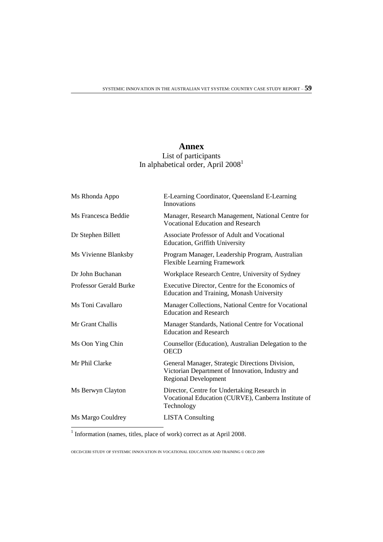# **Annex** List of participants In alphabetical order, April 2008<sup>1</sup>

| Ms Rhonda Appo                | E-Learning Coordinator, Queensland E-Learning<br><b>Innovations</b>                                                                |
|-------------------------------|------------------------------------------------------------------------------------------------------------------------------------|
| Ms Francesca Beddie           | Manager, Research Management, National Centre for<br><b>Vocational Education and Research</b>                                      |
| Dr Stephen Billett            | Associate Professor of Adult and Vocational<br>Education, Griffith University                                                      |
| Ms Vivienne Blanksby          | Program Manager, Leadership Program, Australian<br><b>Flexible Learning Framework</b>                                              |
| Dr John Buchanan              | Workplace Research Centre, University of Sydney                                                                                    |
| <b>Professor Gerald Burke</b> | Executive Director, Centre for the Economics of<br><b>Education and Training, Monash University</b>                                |
| Ms Toni Cavallaro             | Manager Collections, National Centre for Vocational<br><b>Education and Research</b>                                               |
| Mr Grant Challis              | Manager Standards, National Centre for Vocational<br><b>Education and Research</b>                                                 |
| Ms Oon Ying Chin              | Counsellor (Education), Australian Delegation to the<br><b>OECD</b>                                                                |
| Mr Phil Clarke                | General Manager, Strategic Directions Division,<br>Victorian Department of Innovation, Industry and<br><b>Regional Development</b> |
| Ms Berwyn Clayton             | Director, Centre for Undertaking Research in<br>Vocational Education (CURVE), Canberra Institute of<br>Technology                  |
| Ms Margo Couldrey             | <b>LISTA</b> Consulting                                                                                                            |

1 Information (names, titles, place of work) correct as at April 2008.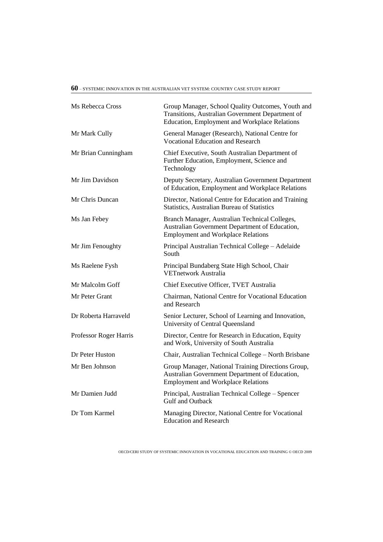# **60** – SYSTEMIC INNOVATION IN THE AUSTRALIAN VET SYSTEM: COUNTRY CASE STUDY REPORT

| Ms Rebecca Cross       | Group Manager, School Quality Outcomes, Youth and<br>Transitions, Australian Government Department of<br>Education, Employment and Workplace Relations |
|------------------------|--------------------------------------------------------------------------------------------------------------------------------------------------------|
| Mr Mark Cully          | General Manager (Research), National Centre for<br><b>Vocational Education and Research</b>                                                            |
| Mr Brian Cunningham    | Chief Executive, South Australian Department of<br>Further Education, Employment, Science and<br>Technology                                            |
| Mr Jim Davidson        | Deputy Secretary, Australian Government Department<br>of Education, Employment and Workplace Relations                                                 |
| Mr Chris Duncan        | Director, National Centre for Education and Training<br><b>Statistics, Australian Bureau of Statistics</b>                                             |
| Ms Jan Febey           | Branch Manager, Australian Technical Colleges,<br>Australian Government Department of Education,<br><b>Employment and Workplace Relations</b>          |
| Mr Jim Fenoughty       | Principal Australian Technical College - Adelaide<br>South                                                                                             |
| Ms Raelene Fysh        | Principal Bundaberg State High School, Chair<br>VETnetwork Australia                                                                                   |
| Mr Malcolm Goff        | Chief Executive Officer, TVET Australia                                                                                                                |
| Mr Peter Grant         | Chairman, National Centre for Vocational Education<br>and Research                                                                                     |
| Dr Roberta Harraveld   | Senior Lecturer, School of Learning and Innovation,<br>University of Central Queensland                                                                |
| Professor Roger Harris | Director, Centre for Research in Education, Equity<br>and Work, University of South Australia                                                          |
| Dr Peter Huston        | Chair, Australian Technical College - North Brisbane                                                                                                   |
| Mr Ben Johnson         | Group Manager, National Training Directions Group,<br>Australian Government Department of Education,<br><b>Employment and Workplace Relations</b>      |
| Mr Damien Judd         | Principal, Australian Technical College - Spencer<br><b>Gulf and Outback</b>                                                                           |
| Dr Tom Karmel          | Managing Director, National Centre for Vocational<br><b>Education and Research</b>                                                                     |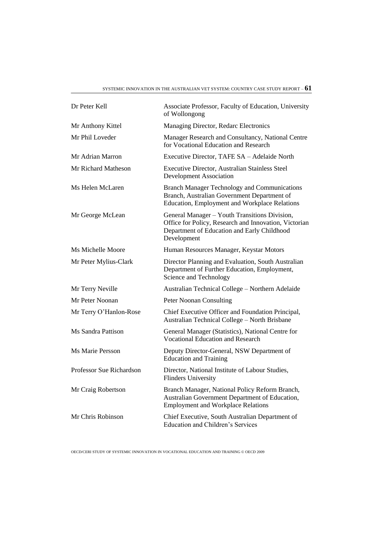| Dr Peter Kell            | Associate Professor, Faculty of Education, University<br>of Wollongong                                                                                               |
|--------------------------|----------------------------------------------------------------------------------------------------------------------------------------------------------------------|
| Mr Anthony Kittel        | Managing Director, Redarc Electronics                                                                                                                                |
| Mr Phil Loveder          | Manager Research and Consultancy, National Centre<br>for Vocational Education and Research                                                                           |
| Mr Adrian Marron         | Executive Director, TAFE SA - Adelaide North                                                                                                                         |
| Mr Richard Matheson      | Executive Director, Australian Stainless Steel<br><b>Development Association</b>                                                                                     |
| Ms Helen McLaren         | <b>Branch Manager Technology and Communications</b><br>Branch, Australian Government Department of<br><b>Education, Employment and Workplace Relations</b>           |
| Mr George McLean         | General Manager - Youth Transitions Division,<br>Office for Policy, Research and Innovation, Victorian<br>Department of Education and Early Childhood<br>Development |
| Ms Michelle Moore        | Human Resources Manager, Keystar Motors                                                                                                                              |
| Mr Peter Mylius-Clark    | Director Planning and Evaluation, South Australian<br>Department of Further Education, Employment,<br>Science and Technology                                         |
| Mr Terry Neville         | Australian Technical College - Northern Adelaide                                                                                                                     |
| Mr Peter Noonan          | <b>Peter Noonan Consulting</b>                                                                                                                                       |
| Mr Terry O'Hanlon-Rose   | Chief Executive Officer and Foundation Principal,<br>Australian Technical College - North Brisbane                                                                   |
| Ms Sandra Pattison       | General Manager (Statistics), National Centre for<br><b>Vocational Education and Research</b>                                                                        |
| Ms Marie Persson         | Deputy Director-General, NSW Department of<br><b>Education and Training</b>                                                                                          |
| Professor Sue Richardson | Director, National Institute of Labour Studies,<br><b>Flinders University</b>                                                                                        |
| Mr Craig Robertson       | Branch Manager, National Policy Reform Branch,<br>Australian Government Department of Education,<br><b>Employment and Workplace Relations</b>                        |
| Mr Chris Robinson        | Chief Executive, South Australian Department of<br><b>Education and Children's Services</b>                                                                          |